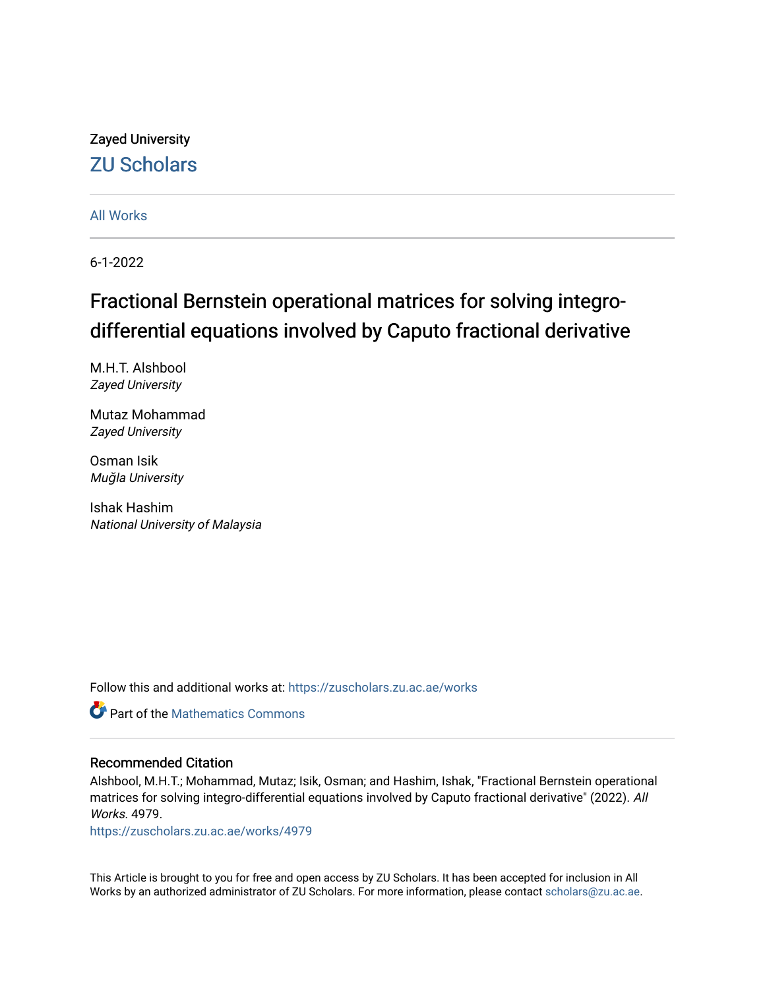### Zayed University [ZU Scholars](https://zuscholars.zu.ac.ae/)

[All Works](https://zuscholars.zu.ac.ae/works)

6-1-2022

# Fractional Bernstein operational matrices for solving integrodifferential equations involved by Caputo fractional derivative

M.H.T. Alshbool Zayed University

Mutaz Mohammad Zayed University

Osman Isik Muğla University

Ishak Hashim National University of Malaysia

Follow this and additional works at: [https://zuscholars.zu.ac.ae/works](https://zuscholars.zu.ac.ae/works?utm_source=zuscholars.zu.ac.ae%2Fworks%2F4979&utm_medium=PDF&utm_campaign=PDFCoverPages)



### Recommended Citation

Alshbool, M.H.T.; Mohammad, Mutaz; Isik, Osman; and Hashim, Ishak, "Fractional Bernstein operational matrices for solving integro-differential equations involved by Caputo fractional derivative" (2022). All Works. 4979.

[https://zuscholars.zu.ac.ae/works/4979](https://zuscholars.zu.ac.ae/works/4979?utm_source=zuscholars.zu.ac.ae%2Fworks%2F4979&utm_medium=PDF&utm_campaign=PDFCoverPages)

This Article is brought to you for free and open access by ZU Scholars. It has been accepted for inclusion in All Works by an authorized administrator of ZU Scholars. For more information, please contact [scholars@zu.ac.ae](mailto:scholars@zu.ac.ae).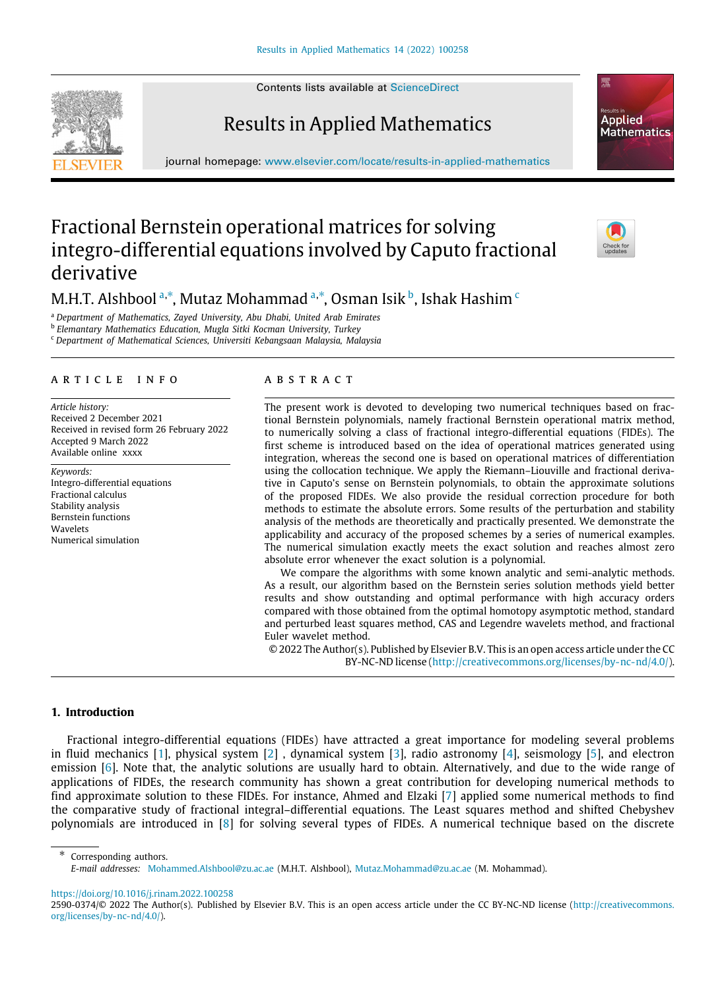Contents lists available at [ScienceDirect](http://www.elsevier.com/locate/results-in-applied-mathematics)

## Results in Applied Mathematics

journal homepage: [www.elsevier.com/locate/results-in-applied-mathematics](http://www.elsevier.com/locate/results-in-applied-mathematics)

### Fractional Bernstein operational matrices for solving integro-differential equations involved by Caputo fractional derivative

M.H.T. Alsh[b](#page-1-2)ool  $^{\mathrm{a},\ast}$  $^{\mathrm{a},\ast}$  $^{\mathrm{a},\ast}$ , Mutaz Mohammad  $^{\mathrm{a},\ast}$ , Osman Isik  $^{\mathrm{b}}$ , Ishak Hashim  $^{\mathrm{c}}$  $^{\mathrm{c}}$  $^{\mathrm{c}}$ 

<span id="page-1-0"></span><sup>a</sup> *Department of Mathematics, Zayed University, Abu Dhabi, United Arab Emirates*

<span id="page-1-2"></span>b *Elemantary Mathematics Education, Mugla Sitki Kocman University, Turkey*

<span id="page-1-3"></span><sup>c</sup> *Department of Mathematical Sciences, Universiti Kebangsaan Malaysia, Malaysia*

#### a r t i c l e i n f o

*Article history:* Received 2 December 2021 Received in revised form 26 February 2022 Accepted 9 March 2022 Available online xxxx

*Keywords:* Integro-differential equations Fractional calculus Stability analysis Bernstein functions **Wavelets** Numerical simulation

#### a b s t r a c t

The present work is devoted to developing two numerical techniques based on fractional Bernstein polynomials, namely fractional Bernstein operational matrix method, to numerically solving a class of fractional integro-differential equations (FIDEs). The first scheme is introduced based on the idea of operational matrices generated using integration, whereas the second one is based on operational matrices of differentiation using the collocation technique. We apply the Riemann–Liouville and fractional derivative in Caputo's sense on Bernstein polynomials, to obtain the approximate solutions of the proposed FIDEs. We also provide the residual correction procedure for both methods to estimate the absolute errors. Some results of the perturbation and stability analysis of the methods are theoretically and practically presented. We demonstrate the applicability and accuracy of the proposed schemes by a series of numerical examples. The numerical simulation exactly meets the exact solution and reaches almost zero absolute error whenever the exact solution is a polynomial.

We compare the algorithms with some known analytic and semi-analytic methods. As a result, our algorithm based on the Bernstein series solution methods yield better results and show outstanding and optimal performance with high accuracy orders compared with those obtained from the optimal homotopy asymptotic method, standard and perturbed least squares method, CAS and Legendre wavelets method, and fractional Euler wavelet method.

© 2022 The Author(s). Published by Elsevier B.V. This is an open access article under the CC BY-NC-ND license [\(http://creativecommons.org/licenses/by-nc-nd/4.0/\)](http://creativecommons.org/licenses/by-nc-nd/4.0/).

#### **1. Introduction**

Fractional integro-differential equations (FIDEs) have attracted a great importance for modeling several problems in fluid mechanics [\[1](#page-16-0)], physical system [[2](#page-16-1)] , dynamical system [\[3\]](#page-16-2), radio astronomy [\[4\]](#page-16-3), seismology [\[5\]](#page-16-4), and electron emission [\[6\]](#page-16-5). Note that, the analytic solutions are usually hard to obtain. Alternatively, and due to the wide range of applications of FIDEs, the research community has shown a great contribution for developing numerical methods to find approximate solution to these FIDEs. For instance, Ahmed and Elzaki [\[7](#page-16-6)] applied some numerical methods to find the comparative study of fractional integral–differential equations. The Least squares method and shifted Chebyshev polynomials are introduced in [\[8](#page-16-7)] for solving several types of FIDEs. A numerical technique based on the discrete







Corresponding authors.

<span id="page-1-1"></span>*E-mail addresses:* [Mohammed.Alshbool@zu.ac.ae](mailto:Mohammed.Alshbool@zu.ac.ae) (M.H.T. Alshbool), [Mutaz.Mohammad@zu.ac.ae](mailto:Mutaz.Mohammad@zu.ac.ae) (M. Mohammad).

<https://doi.org/10.1016/j.rinam.2022.100258>

<sup>2590-0374/</sup>© 2022 The Author(s). Published by Elsevier B.V. This is an open access article under the CC BY-NC-ND license [\(http://creativecommons.](http://creativecommons.org/licenses/by-nc-nd/4.0/) [org/licenses/by-nc-nd/4.0/](http://creativecommons.org/licenses/by-nc-nd/4.0/)).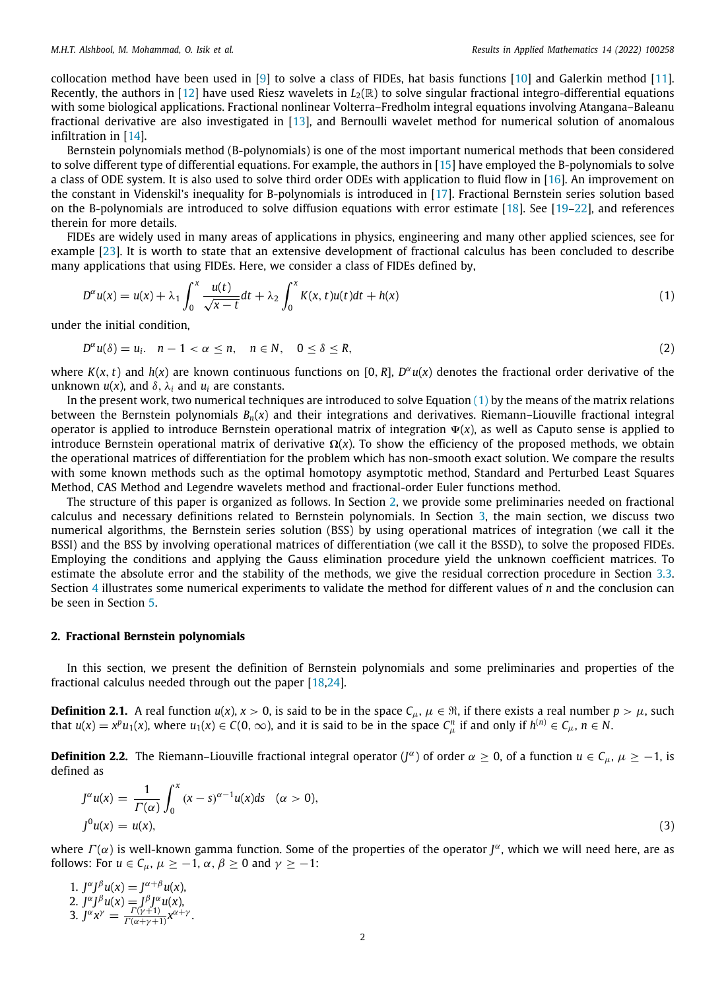collocation method have been used in [[9\]](#page-16-8) to solve a class of FIDEs, hat basis functions [\[10\]](#page-16-9) and Galerkin method [\[11\]](#page-16-10). Recently, the authors in [[12](#page-16-11)] have used Riesz wavelets in  $L_2(\mathbb{R})$  to solve singular fractional integro-differential equations with some biological applications. Fractional nonlinear Volterra–Fredholm integral equations involving Atangana–Baleanu fractional derivative are also investigated in [[13](#page-16-12)], and Bernoulli wavelet method for numerical solution of anomalous infiltration in [[14](#page-16-13)].

Bernstein polynomials method (B-polynomials) is one of the most important numerical methods that been considered to solve different type of differential equations. For example, the authors in [\[15\]](#page-16-14) have employed the B-polynomials to solve a class of ODE system. It is also used to solve third order ODEs with application to fluid flow in [\[16\]](#page-16-15). An improvement on the constant in Videnskil's inequality for B-polynomials is introduced in [\[17](#page-16-16)]. Fractional Bernstein series solution based on the B-polynomials are introduced to solve diffusion equations with error estimate [[18](#page-16-17)]. See [[19](#page-16-18)[–22\]](#page-16-19), and references therein for more details.

FIDEs are widely used in many areas of applications in physics, engineering and many other applied sciences, see for example [\[23\]](#page-16-20). It is worth to state that an extensive development of fractional calculus has been concluded to describe many applications that using FIDEs. Here, we consider a class of FIDEs defined by,

<span id="page-2-0"></span>
$$
D^{\alpha}u(x) = u(x) + \lambda_1 \int_0^x \frac{u(t)}{\sqrt{x-t}} dt + \lambda_2 \int_0^x K(x, t)u(t)dt + h(x)
$$
\n(1)

under the initial condition,

<span id="page-2-2"></span> $D^{\alpha}u(\delta) = u_i$ ,  $n - 1 < \alpha \le n$ ,  $n \in \mathbb{N}$ ,  $0 \le \delta \le R$ , (2)

where  $K(x, t)$  and  $h(x)$  are known continuous functions on [0, R],  $D^{\alpha}u(x)$  denotes the fractional order derivative of the unknown  $u(x)$ , and  $δ$ ,  $λ$ <sub>*i*</sub> and  $u$ <sub>*i*</sub> are constants.

In the present work, two numerical techniques are introduced to solve Equation  $(1)$  $(1)$  by the means of the matrix relations between the Bernstein polynomials *Bn*(*x*) and their integrations and derivatives. Riemann–Liouville fractional integral operator is applied to introduce Bernstein operational matrix of integration Ψ(*x*), as well as Caputo sense is applied to introduce Bernstein operational matrix of derivative Ω(*x*). To show the efficiency of the proposed methods, we obtain the operational matrices of differentiation for the problem which has non-smooth exact solution. We compare the results with some known methods such as the optimal homotopy asymptotic method, Standard and Perturbed Least Squares Method, CAS Method and Legendre wavelets method and fractional-order Euler functions method.

The structure of this paper is organized as follows. In Section [2](#page-2-1), we provide some preliminaries needed on fractional calculus and necessary definitions related to Bernstein polynomials. In Section [3,](#page-3-0) the main section, we discuss two numerical algorithms, the Bernstein series solution (BSS) by using operational matrices of integration (we call it the BSSI) and the BSS by involving operational matrices of differentiation (we call it the BSSD), to solve the proposed FIDEs. Employing the conditions and applying the Gauss elimination procedure yield the unknown coefficient matrices. To estimate the absolute error and the stability of the methods, we give the residual correction procedure in Section [3.3.](#page-7-0) Section [4](#page-8-0) illustrates some numerical experiments to validate the method for different values of *n* and the conclusion can be seen in Section [5](#page-15-0).

#### **2. Fractional Bernstein polynomials**

<span id="page-2-1"></span>In this section, we present the definition of Bernstein polynomials and some preliminaries and properties of the fractional calculus needed through out the paper [[18,](#page-16-17)[24](#page-16-21)].

**Definition 2.1.** A real function  $u(x)$ ,  $x > 0$ , is said to be in the space  $C_\mu$ ,  $\mu \in \mathbb{R}$ , if there exists a real number  $p > \mu$ , such that  $u(x) = x^p u_1(x)$ , where  $u_1(x) \in C(0, \infty)$ , and it is said to be in the space  $C_\mu^n$  if and only if  $h^{(n)} \in C_\mu$ ,  $n \in \mathbb{N}$ .

**Definition 2.2.** The Riemann–Liouville fractional integral operator (*J*<sup>α</sup>) of order  $\alpha \ge 0$ , of a function  $u \in C_\mu$ ,  $\mu \ge -1$ , is defined as

$$
J^{\alpha}u(x) = \frac{1}{\Gamma(\alpha)} \int_0^x (x - s)^{\alpha - 1} u(x) ds \quad (\alpha > 0),
$$
  

$$
J^0 u(x) = u(x), \tag{3}
$$

where  $\Gamma(\alpha)$  is well-known gamma function. Some of the properties of the operator  $J^\alpha$ , which we will need here, are as follows: For  $u \in C_\mu$ ,  $\mu \geq -1$ ,  $\alpha$ ,  $\beta \geq 0$  and  $\gamma \geq -1$ :

1. 
$$
J^{\alpha}J^{\beta}u(x) = J^{\alpha+\beta}u(x),
$$
  
\n2. 
$$
J^{\alpha}J^{\beta}u(x) = J^{\beta}J^{\alpha}u(x),
$$
  
\n3. 
$$
J^{\alpha}x^{\gamma} = \frac{\Gamma(\gamma+1)}{\Gamma(\alpha+\gamma+1)}x^{\alpha+\gamma}.
$$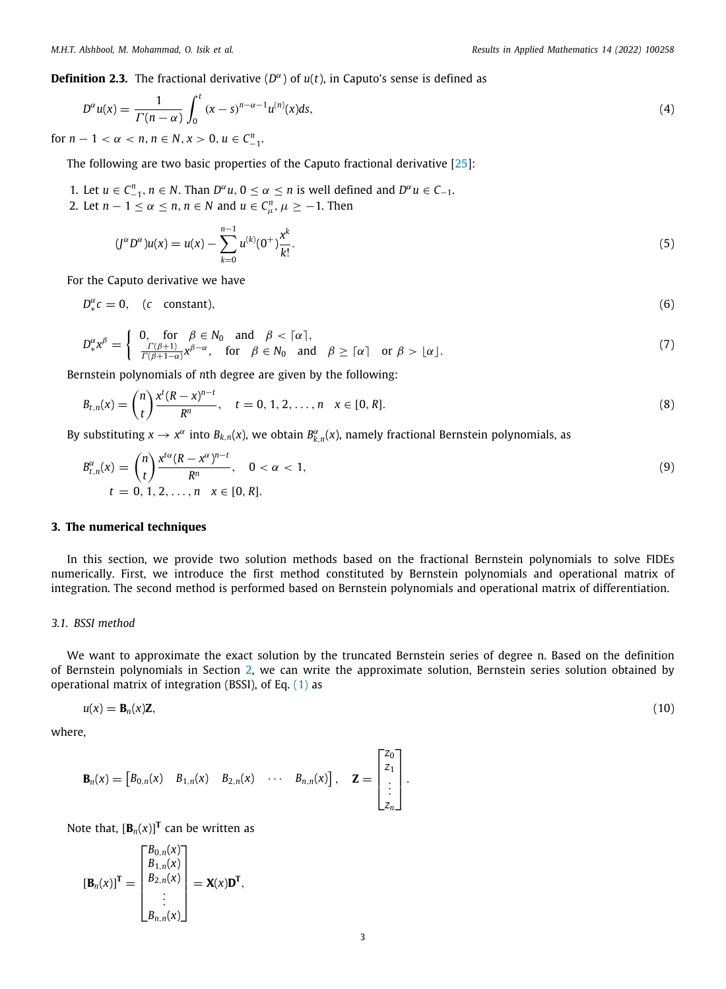**Definition 2.3.** The fractional derivative (*D* α ) of *u*(*t*), in Caputo's sense is defined as

$$
D^{\alpha}u(x) = \frac{1}{\Gamma(n-\alpha)} \int_0^t (x-s)^{n-\alpha-1} u^{(n)}(x) ds,
$$
\n
$$
1 \le \alpha \le n, n \in \mathbb{N}, x > 0, y \in C^n
$$
\n(4)

for  $n - 1 < \alpha < n, n \in \mathbb{N}, x > 0, u \in C_{-1}^n$ .

The following are two basic properties of the Caputo fractional derivative [\[25\]](#page-16-22):

- 1. Let  $u \in C_{-1}^n$ ,  $n \in N$ . Than  $D^{\alpha}u$ ,  $0 \le \alpha \le n$  is well defined and  $D^{\alpha}u \in C_{-1}$ .
- 2. Let  $n 1 \le \alpha \le n$ ,  $n \in \mathbb{N}$  and  $u \in C_{\mu}^n$ ,  $\mu \ge -1$ . Then

$$
(J^{\alpha}D^{\alpha})u(x) = u(x) - \sum_{k=0}^{n-1} u^{(k)}(0^{+}) \frac{x^{k}}{k!}.
$$
\n(5)

For the Caputo derivative we have

$$
D_{*}^{\alpha}c = 0, \quad (c \quad \text{constant}), \tag{6}
$$

$$
D_{*}^{\alpha} \chi^{\beta} = \begin{cases} 0, & \text{for } \beta \in N_{0} \text{ and } \beta < \lceil \alpha \rceil, \\ \frac{\Gamma(\beta+1)}{\Gamma(\beta+1-\alpha)} \chi^{\beta-\alpha}, & \text{for } \beta \in N_{0} \text{ and } \beta \geq \lceil \alpha \rceil \text{ or } \beta > \lfloor \alpha \rfloor. \end{cases}
$$
(7)

Bernstein polynomials of *n*th degree are given by the following:

$$
B_{t,n}(x) = {n \choose t} \frac{x^{t}(R-x)^{n-t}}{R^{n}}, \quad t = 0, 1, 2, ..., n \quad x \in [0, R].
$$
 (8)

By substituting  $x \to x^\alpha$  into  $B_{k,n}(x)$ , we obtain  $B_{k,n}^\alpha(x)$ , namely fractional Bernstein polynomials, as

$$
B_{t,n}^{\alpha}(x) = {n \choose t} \frac{x^{t\alpha}(R - x^{\alpha})^{n-t}}{R^n}, \quad 0 < \alpha < 1,
$$
  
\n
$$
t = 0, 1, 2, ..., n \quad x \in [0, R].
$$
\n(9)

#### **3. The numerical techniques**

<span id="page-3-0"></span>In this section, we provide two solution methods based on the fractional Bernstein polynomials to solve FIDEs numerically. First, we introduce the first method constituted by Bernstein polynomials and operational matrix of integration. The second method is performed based on Bernstein polynomials and operational matrix of differentiation.

#### *3.1. BSSI method*

We want to approximate the exact solution by the truncated Bernstein series of degree n. Based on the definition of Bernstein polynomials in Section [2](#page-2-1), we can write the approximate solution, Bernstein series solution obtained by operational matrix of integration (BSSI), of Eq. [\(1](#page-2-0)) as

$$
u(x) = \mathbf{B}_n(x)\mathbf{Z},\tag{10}
$$

where,

$$
\mathbf{B}_n(x) = \begin{bmatrix} B_{0,n}(x) & B_{1,n}(x) & B_{2,n}(x) & \cdots & B_{n,n}(x) \end{bmatrix}, \quad \mathbf{Z} = \begin{bmatrix} z_0 \\ z_1 \\ \vdots \\ z_n \end{bmatrix}.
$$

Note that,  $[\mathbf{B}_n(x)]^{\mathsf{T}}$  can be written as

$$
\begin{bmatrix} \mathbf{B}_{n}(x) \end{bmatrix}^{\mathbf{T}} = \begin{bmatrix} B_{0,n}(x) \\ B_{1,n}(x) \\ B_{2,n}(x) \\ \vdots \\ B_{n,n}(x) \end{bmatrix} = \mathbf{X}(x)\mathbf{D}^{\mathbf{T}},
$$

<span id="page-3-2"></span><span id="page-3-1"></span>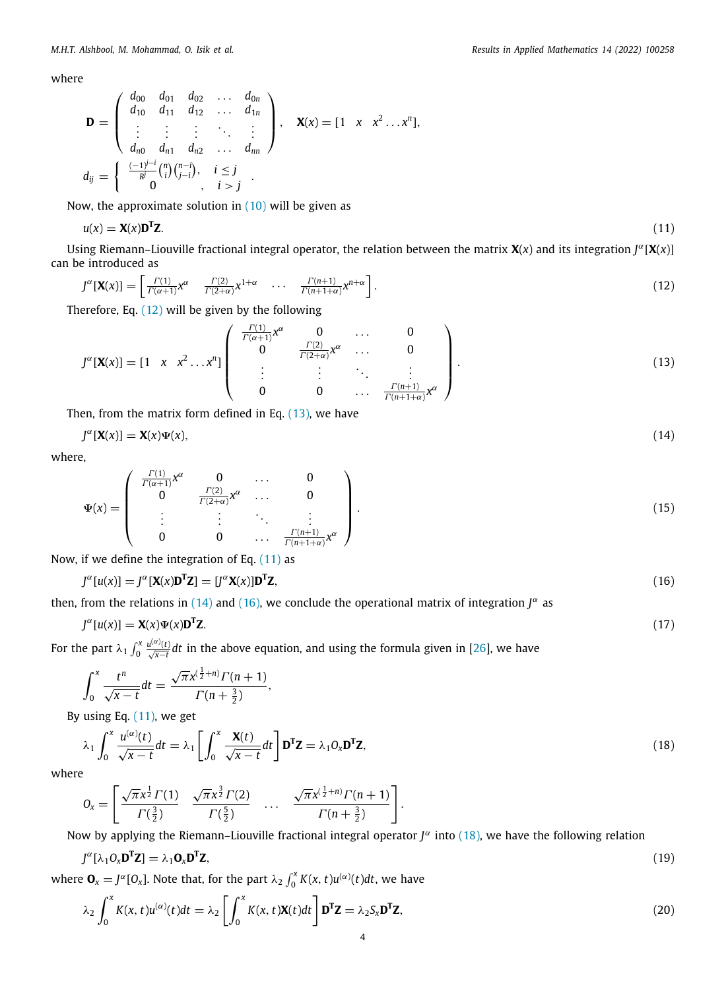where

$$
\mathbf{D} = \left( \begin{array}{cccc} d_{00} & d_{01} & d_{02} & \dots & d_{0n} \\ d_{10} & d_{11} & d_{12} & \dots & d_{1n} \\ \vdots & \vdots & \vdots & \ddots & \vdots \\ d_{n0} & d_{n1} & d_{n2} & \dots & d_{nn} \end{array} \right), \quad \mathbf{X}(x) = \begin{bmatrix} 1 & x & x^2 \dots x^n \end{bmatrix},
$$
  

$$
d_{ij} = \left\{ \begin{array}{cccc} \frac{(-1)^{j-i}}{R} {n \choose i} {n-i \choose j-i}, & i \le j \\ 0 & , & i > j \end{array} \right.
$$

Now, the approximate solution in  $(10)$  will be given as

<span id="page-4-2"></span><span id="page-4-0"></span>
$$
u(x) = \mathbf{X}(x)\mathbf{D}^{\mathrm{T}}\mathbf{Z}.\tag{11}
$$

Using Riemann–Liouville fractional integral operator, the relation between the matrix  $\mathbf{X}(x)$  and its integration  $J^{\alpha}[\mathbf{X}(x)]$ can be introduced as

$$
J^{\alpha}[\mathbf{X}(x)] = \begin{bmatrix} \frac{\Gamma(1)}{\Gamma(\alpha+1)} x^{\alpha} & \frac{\Gamma(2)}{\Gamma(2+\alpha)} x^{1+\alpha} & \cdots & \frac{\Gamma(n+1)}{\Gamma(n+1+\alpha)} x^{n+\alpha} \end{bmatrix}.
$$
 (12)

Therefore, Eq. [\(12\)](#page-4-0) will be given by the following

<span id="page-4-1"></span>
$$
J^{\alpha}[\mathbf{X}(x)] = \begin{bmatrix} 1 & x & x^2 \dots x^n \end{bmatrix} \begin{bmatrix} \frac{\Gamma(1)}{\Gamma(\alpha+1)} x^{\alpha} & 0 & \dots & 0 \\ 0 & \frac{\Gamma(2)}{\Gamma(2+\alpha)} x^{\alpha} & \dots & 0 \\ \vdots & \vdots & \ddots & \vdots \\ 0 & 0 & \dots & \frac{\Gamma(n+1)}{\Gamma(n+1+\alpha)} x^{\alpha} \end{bmatrix}.
$$
 (13)

Then, from the matrix form defined in Eq.  $(13)$  $(13)$ , we have

<span id="page-4-3"></span>
$$
J^{\alpha}[\mathbf{X}(x)] = \mathbf{X}(x)\Psi(x),\tag{14}
$$

where,

$$
\Psi(x) = \begin{pmatrix} \frac{\Gamma(1)}{\Gamma(\alpha+1)} x^{\alpha} & 0 & \dots & 0 \\ 0 & \frac{\Gamma(2)}{\Gamma(2+\alpha)} x^{\alpha} & \dots & 0 \\ \vdots & \vdots & \ddots & \vdots \\ 0 & 0 & \dots & \frac{\Gamma(n+1)}{\Gamma(n+1+\alpha)} x^{\alpha} \end{pmatrix}.
$$
(15)

Now, if we define the integration of Eq.  $(11)$  $(11)$  as

<span id="page-4-4"></span>
$$
J^{\alpha}[u(x)] = J^{\alpha}[\mathbf{X}(x)\mathbf{D}^{\mathsf{T}}\mathbf{Z}] = [J^{\alpha}\mathbf{X}(x)]\mathbf{D}^{\mathsf{T}}\mathbf{Z},\tag{16}
$$

then, from the relations in ([14](#page-4-3)) and [\(16\)](#page-4-4), we conclude the operational matrix of integration  $J^{\alpha}$  as

$$
J^{\alpha}[u(x)] = \mathbf{X}(x)\Psi(x)\mathbf{D}^{\mathrm{T}}\mathbf{Z}.
$$
 (17)

For the part  $\lambda_1 \int_0^x \frac{u^{(\alpha)}(t)}{\sqrt{x-t}} dt$  in the above equation, and using the formula given in [\[26\]](#page-16-23), we have

<span id="page-4-7"></span>
$$
\int_0^x \frac{t^n}{\sqrt{x-t}} dt = \frac{\sqrt{\pi} x^{(\frac{1}{2}+n)} \Gamma(n+1)}{\Gamma(n+\frac{3}{2})},
$$

By using Eq. [\(11\)](#page-4-2), we get

<span id="page-4-5"></span>
$$
\lambda_1 \int_0^x \frac{u^{(\alpha)}(t)}{\sqrt{x-t}} dt = \lambda_1 \left[ \int_0^x \frac{\mathbf{X}(t)}{\sqrt{x-t}} dt \right] \mathbf{D}^T \mathbf{Z} = \lambda_1 O_x \mathbf{D}^T \mathbf{Z},
$$
\n(18)

where

$$
0_x = \left[ \frac{\sqrt{\pi} x^{\frac{1}{2}} \Gamma(1)}{\Gamma(\frac{3}{2})} \quad \frac{\sqrt{\pi} x^{\frac{3}{2}} \Gamma(2)}{\Gamma(\frac{5}{2})} \quad \dots \quad \frac{\sqrt{\pi} x^{(\frac{1}{2}+n)} \Gamma(n+1)}{\Gamma(n+\frac{3}{2})} \right].
$$

Now by applying the Riemann–Liouville fractional integral operator  $J^{\alpha}$  into [\(18](#page-4-5)), we have the following relation

<span id="page-4-8"></span>
$$
J^{\alpha}[\lambda_1 O_{\chi} \mathbf{D}^{\mathrm{T}} \mathbf{Z}] = \lambda_1 \mathbf{O}_{\chi} \mathbf{D}^{\mathrm{T}} \mathbf{Z},\tag{19}
$$

where  $\mathbf{O}_x = J^{\alpha}[O_x]$ . Note that, for the part  $\lambda_2 \int_0^x K(x, t) u^{(\alpha)}(t) dt$ , we have

<span id="page-4-6"></span>
$$
\lambda_2 \int_0^x K(x, t) u^{(\alpha)}(t) dt = \lambda_2 \left[ \int_0^x K(x, t) \mathbf{X}(t) dt \right] \mathbf{D}^{\mathsf{T}} \mathbf{Z} = \lambda_2 S_x \mathbf{D}^{\mathsf{T}} \mathbf{Z},
$$
\n(20)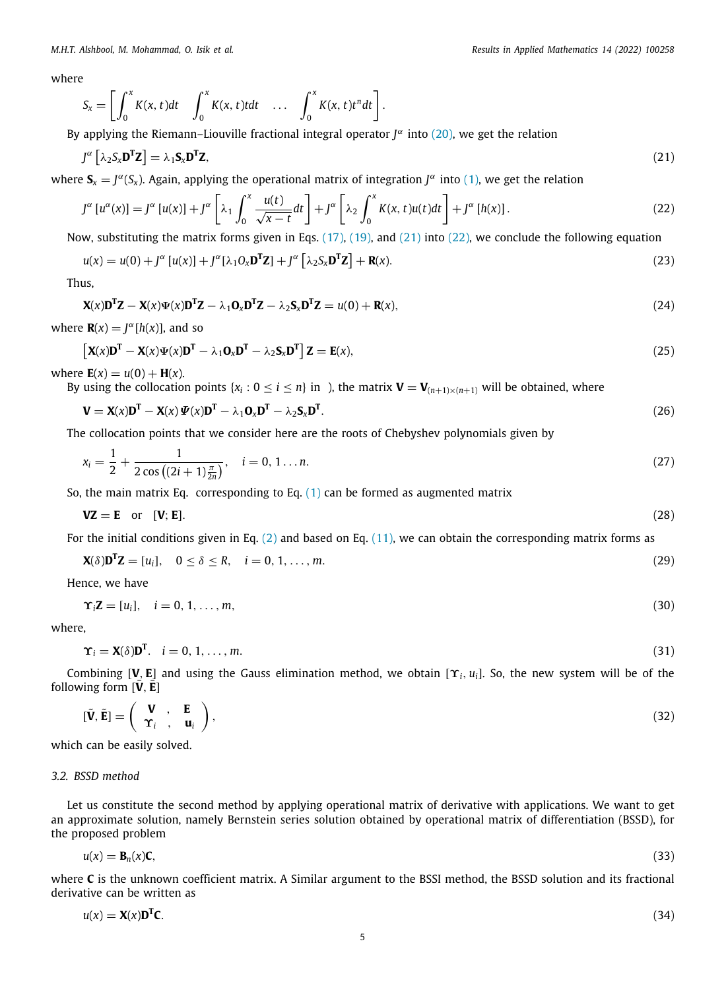where

<span id="page-5-0"></span>
$$
S_x = \left[ \int_0^x K(x, t) dt \quad \int_0^x K(x, t) t dt \quad \dots \quad \int_0^x K(x, t) t^n dt \right].
$$

By applying the Riemann–Liouville fractional integral operator  $J^{\alpha}$  into ([20\)](#page-4-6), we get the relation

$$
J^{\alpha} \left[ \lambda_2 S_x \mathbf{D}^{\mathsf{T}} \mathbf{Z} \right] = \lambda_1 \mathbf{S}_x \mathbf{D}^{\mathsf{T}} \mathbf{Z}, \tag{21}
$$

where  $S_x = J^{\alpha}(S_x)$ . Again, applying the operational matrix of integration  $J^{\alpha}$  into [\(1\)](#page-2-0), we get the relation

<span id="page-5-1"></span>
$$
J^{\alpha}[u^{\alpha}(x)] = J^{\alpha}[u(x)] + J^{\alpha}\left[\lambda_1 \int_0^x \frac{u(t)}{\sqrt{x-t}} dt\right] + J^{\alpha}\left[\lambda_2 \int_0^x K(x, t)u(t) dt\right] + J^{\alpha}[h(x)].
$$
\n(22)

Now, substituting the matrix forms given in Eqs.  $(17)$ ,  $(19)$  $(19)$  $(19)$ , and  $(21)$  $(21)$  into  $(22)$  $(22)$ , we conclude the following equation

$$
u(x) = u(0) + J^{\alpha} [u(x)] + J^{\alpha} [\lambda_1 O_x \mathbf{D}^{\mathsf{T}} \mathbf{Z}] + J^{\alpha} [\lambda_2 S_x \mathbf{D}^{\mathsf{T}} \mathbf{Z}] + \mathbf{R}(x).
$$
\n(23)

Thus,

$$
\mathbf{X}(x)\mathbf{D}^{\mathsf{T}}\mathbf{Z} - \mathbf{X}(x)\Psi(x)\mathbf{D}^{\mathsf{T}}\mathbf{Z} - \lambda_1 \mathbf{O}_x \mathbf{D}^{\mathsf{T}}\mathbf{Z} - \lambda_2 \mathbf{S}_x \mathbf{D}^{\mathsf{T}}\mathbf{Z} = u(0) + \mathbf{R}(x),\tag{24}
$$

where  $\mathbf{R}(x) = J^{\alpha}[h(x)]$ , and so

$$
\left[\mathbf{X}(x)\mathbf{D}^{\mathrm{T}} - \mathbf{X}(x)\Psi(x)\mathbf{D}^{\mathrm{T}} - \lambda_1\mathbf{O}_x\mathbf{D}^{\mathrm{T}} - \lambda_2\mathbf{S}_x\mathbf{D}^{\mathrm{T}}\right]\mathbf{Z} = \mathbf{E}(x),\tag{25}
$$

where  $E(x) = u(0) + H(x)$ .

By using the collocation points  $\{x_i : 0 \le i \le n\}$  in ), the matrix  $\mathbf{V} = \mathbf{V}_{(n+1)\times(n+1)}$  will be obtained, where

$$
\mathbf{V} = \mathbf{X}(x)\mathbf{D}^{\mathrm{T}} - \mathbf{X}(x)\mathbf{\Psi}(x)\mathbf{D}^{\mathrm{T}} - \lambda_1 \mathbf{O}_x \mathbf{D}^{\mathrm{T}} - \lambda_2 \mathbf{S}_x \mathbf{D}^{\mathrm{T}}.
$$
\n(26)

The collocation points that we consider here are the roots of Chebyshev polynomials given by

$$
x_i = \frac{1}{2} + \frac{1}{2\cos\left((2i+1)\frac{\pi}{2n}\right)}, \quad i = 0, 1...n.
$$
 (27)

So, the main matrix Eq. corresponding to Eq.  $(1)$  $(1)$  $(1)$  can be formed as augmented matrix

<span id="page-5-2"></span>
$$
VZ = E \quad \text{or} \quad [V; E]. \tag{28}
$$

For the initial conditions given in Eq. ([2\)](#page-2-2) and based on Eq. [\(11\)](#page-4-2), we can obtain the corresponding matrix forms as

$$
\mathbf{X}(\delta)\mathbf{D}^{\mathrm{T}}\mathbf{Z} = [u_i], \quad 0 \le \delta \le R, \quad i = 0, 1, \dots, m. \tag{29}
$$

Hence, we have

$$
\Upsilon_i \mathbf{Z} = [u_i], \quad i = 0, 1, \dots, m,
$$
\n
$$
(30)
$$

where,

$$
\Upsilon_i = \mathbf{X}(\delta) \mathbf{D}^{\mathsf{T}}. \quad i = 0, 1, \dots, m. \tag{31}
$$

Combining [V, E] and using the Gauss elimination method, we obtain  $[\Upsilon_i, u_i]$ . So, the new system will be of the following form  $[\bar{V}, \bar{E}]$ 

$$
[\tilde{\mathbf{V}}, \tilde{\mathbf{E}}] = \left(\begin{array}{ccc} \mathbf{V} & , & \mathbf{E} \\ \mathbf{\hat{\Upsilon}}_i & , & \mathbf{u}_i \end{array}\right),\tag{32}
$$

which can be easily solved.

**T** 

#### *3.2. BSSD method*

Let us constitute the second method by applying operational matrix of derivative with applications. We want to get an approximate solution, namely Bernstein series solution obtained by operational matrix of differentiation (BSSD), for the proposed problem

$$
u(x) = \mathbf{B}_n(x)\mathbf{C},\tag{33}
$$

where **C** is the unknown coefficient matrix. A Similar argument to the BSSI method, the BSSD solution and its fractional derivative can be written as

$$
u(x) = \mathbf{X}(x)\mathbf{D}^{\mathrm{T}}\mathbf{C}.\tag{34}
$$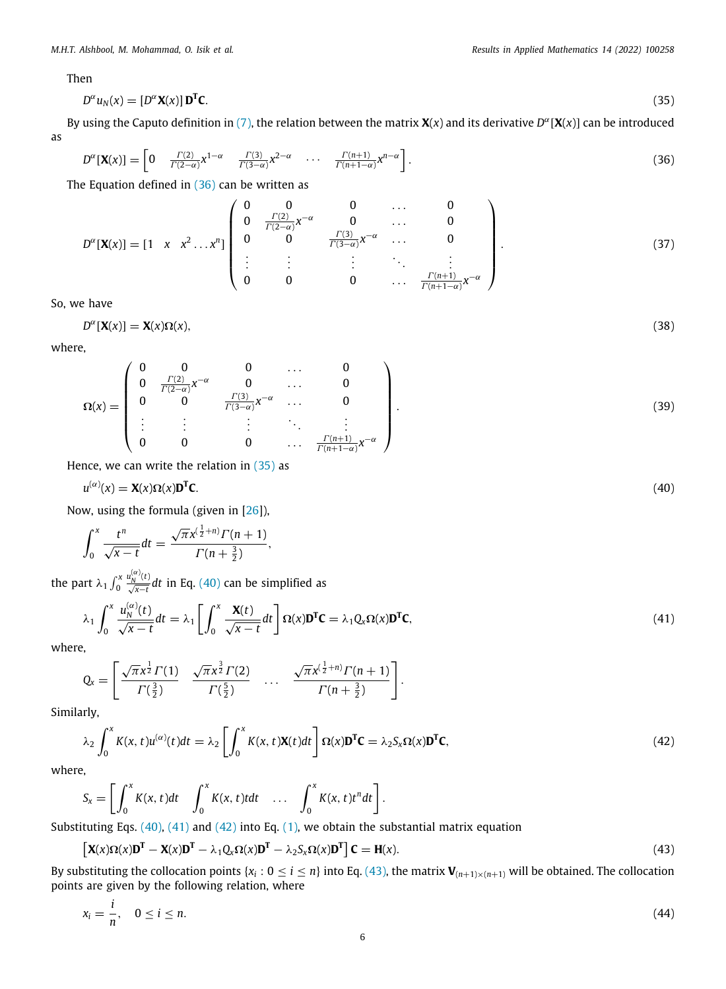Then

$$
D^{\alpha}u_N(x) = [D^{\alpha}X(x)]\mathbf{D}^{\mathbf{T}}\mathbf{C}.
$$
\n(35)

By using the Caputo definition in ([7](#page-3-2)), the relation between the matrix  $\mathbf{X}(x)$  and its derivative  $D^{\alpha}[\mathbf{X}(x)]$  can be introduced as

$$
D^{\alpha}[\mathbf{X}(x)] = \begin{bmatrix} 0 & \frac{\Gamma(2)}{\Gamma(2-\alpha)} x^{1-\alpha} & \frac{\Gamma(3)}{\Gamma(3-\alpha)} x^{2-\alpha} & \cdots & \frac{\Gamma(n+1)}{\Gamma(n+1-\alpha)} x^{n-\alpha} \end{bmatrix}.
$$
 (36)

The Equation defined in ([36\)](#page-6-0) can be written as

$$
D^{\alpha}[\mathbf{X}(x)] = \begin{bmatrix} 1 & x & x^2 & \dots & x^n \end{bmatrix} \begin{bmatrix} 0 & 0 & 0 & \dots & 0 \\ 0 & \frac{\Gamma(2)}{\Gamma(2-\alpha)}x^{-\alpha} & 0 & \dots & 0 \\ 0 & 0 & \frac{\Gamma(3)}{\Gamma(3-\alpha)}x^{-\alpha} & \dots & 0 \\ \vdots & \vdots & \vdots & \ddots & \vdots \\ 0 & 0 & 0 & \dots & \frac{\Gamma(n+1)}{\Gamma(n+1-\alpha)}x^{-\alpha} \end{bmatrix}.
$$
 (37)

So, we have

$$
D^{\alpha}[\mathbf{X}(x)] = \mathbf{X}(x)\Omega(x),\tag{38}
$$

where,

$$
\Omega(x) = \begin{pmatrix}\n0 & 0 & 0 & \dots & 0 \\
0 & \frac{\Gamma(2)}{\Gamma(2-\alpha)} x^{-\alpha} & 0 & \dots & 0 \\
0 & 0 & \frac{\Gamma(3)}{\Gamma(3-\alpha)} x^{-\alpha} & \dots & 0 \\
\vdots & \vdots & \vdots & \ddots & \vdots \\
0 & 0 & 0 & \dots & \frac{\Gamma(n+1)}{\Gamma(n+1-\alpha)} x^{-\alpha}\n\end{pmatrix}.
$$
\n(39)

Hence, we can write the relation in  $(35)$  $(35)$  $(35)$  as

$$
u^{(\alpha)}(x) = \mathbf{X}(x)\Omega(x)\mathbf{D}^{\mathrm{T}}\mathbf{C}.\tag{40}
$$

Now, using the formula (given in [[26](#page-16-23)]),

$$
\int_0^x \frac{t^n}{\sqrt{x-t}} dt = \frac{\sqrt{\pi} x^{(\frac{1}{2}+n)} \Gamma(n+1)}{\Gamma(n+\frac{3}{2})},
$$

the part  $\lambda_1 \int_0^x$ *u*<sup>(α)</sup><sub>*N*</sub> (*t*)</sub> *dt* in Eq. ([40](#page-6-2)) can be simplified as

$$
\lambda_1 \int_0^x \frac{u_N^{(\alpha)}(t)}{\sqrt{x-t}} dt = \lambda_1 \left[ \int_0^x \frac{\mathbf{X}(t)}{\sqrt{x-t}} dt \right] \Omega(x) \mathbf{D}^{\mathrm{T}} \mathbf{C} = \lambda_1 Q_x \Omega(x) \mathbf{D}^{\mathrm{T}} \mathbf{C},\tag{41}
$$

where,

$$
Q_x = \left[ \frac{\sqrt{\pi} x^{\frac{1}{2}} \Gamma(1)}{\Gamma(\frac{3}{2})} \frac{\sqrt{\pi} x^{\frac{3}{2}} \Gamma(2)}{\Gamma(\frac{5}{2})} \dots \frac{\sqrt{\pi} x^{(\frac{1}{2}+n)} \Gamma(n+1)}{\Gamma(n+\frac{3}{2})} \right].
$$

Similarly,

$$
\lambda_2 \int_0^x K(x, t) u^{(\alpha)}(t) dt = \lambda_2 \left[ \int_0^x K(x, t) \mathbf{X}(t) dt \right] \Omega(x) \mathbf{D}^{\mathsf{T}} \mathbf{C} = \lambda_2 S_x \Omega(x) \mathbf{D}^{\mathsf{T}} \mathbf{C}, \tag{42}
$$

where,

*i*

$$
S_x = \left[ \int_0^x K(x, t) dt \quad \int_0^x K(x, t) t dt \quad \dots \quad \int_0^x K(x, t) t^n dt \right].
$$

Substituting Eqs. ([40](#page-6-2)), [\(41\)](#page-6-3) and ([42](#page-6-4)) into Eq. [\(1](#page-2-0)), we obtain the substantial matrix equation

$$
\left[\mathbf{X}(x)\Omega(x)\mathbf{D}^{\mathrm{T}}-\mathbf{X}(x)\mathbf{D}^{\mathrm{T}}-\lambda_1\mathbf{Q}_x\Omega(x)\mathbf{D}^{\mathrm{T}}-\lambda_2\mathbf{S}_x\Omega(x)\mathbf{D}^{\mathrm{T}}\right]\mathbf{C}=\mathbf{H}(x).
$$
\n(43)

By substituting the collocation points  $\{x_i: 0 \le i \le n\}$  into Eq. ([43\)](#page-6-5), the matrix  $V_{(n+1)\times(n+1)}$  will be obtained. The collocation points are given by the following relation, where

$$
x_i = \frac{1}{n}, \quad 0 \le i \le n. \tag{44}
$$

<span id="page-6-6"></span><span id="page-6-5"></span><span id="page-6-4"></span><span id="page-6-3"></span><span id="page-6-2"></span><span id="page-6-1"></span><span id="page-6-0"></span>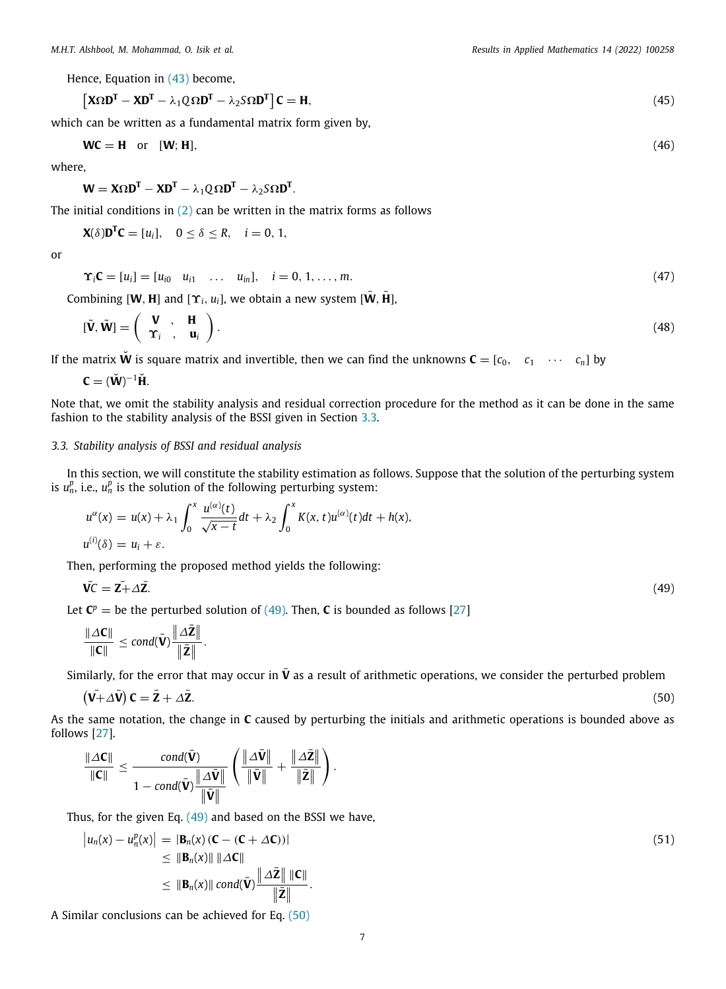Hence, Equation in [\(43\)](#page-6-5) become,

$$
\left[\mathbf{X}\Omega\mathbf{D}^{\mathrm{T}} - \mathbf{X}\mathbf{D}^{\mathrm{T}} - \lambda_1 Q \Omega \mathbf{D}^{\mathrm{T}} - \lambda_2 S \Omega \mathbf{D}^{\mathrm{T}}\right]\mathbf{C} = \mathbf{H},\tag{45}
$$

which can be written as a fundamental matrix form given by,

$$
WC = H \quad \text{or} \quad [W; H], \tag{46}
$$

where,

 $W = X\Omega D^{T} - XD^{T} - \lambda_1 Q \Omega D^{T} - \lambda_2 S \Omega D^{T}.$ 

The initial conditions in  $(2)$  $(2)$  can be written in the matrix forms as follows

**X**( $\delta$ )**D<sup>T</sup>C** = [*u*<sub>*i*</sub>], 0 ≤  $\delta$  ≤ *R*, *i* = 0, 1,

or

$$
\Upsilon_i \mathbf{C} = [u_i] = [u_{i0} \quad u_{i1} \quad \dots \quad u_{in}], \quad i = 0, 1, \dots, m. \tag{47}
$$

Combining  $[W, H]$  and  $[\Upsilon_i, u_i]$ , we obtain a new system  $[\overline{W}, \overline{H}]$ ,

$$
[\tilde{\mathbf{V}}, \tilde{\mathbf{W}}] = \left(\begin{array}{cc} \mathbf{V} & , & \mathbf{H} \\ \Upsilon_i & , & \mathbf{u}_i \end{array}\right). \tag{48}
$$

If the matrix **W** is square matrix and invertible, then we can find the unknowns  $\mathbf{C} = [c_0, c_1 \cdots c_n]$  by

$$
\mathbf{C} = (\breve{\mathbf{W}})^{-1} \breve{\mathbf{H}}.
$$

Note that, we omit the stability analysis and residual correction procedure for the method as it can be done in the same fashion to the stability analysis of the BSSI given in Section [3.3.](#page-7-0)

#### *3.3. Stability analysis of BSSI and residual analysis*

<span id="page-7-0"></span>In this section, we will constitute the stability estimation as follows. Suppose that the solution of the perturbing system is  $u_n^p$ , i.e.,  $u_n^p$  is the solution of the following perturbing system:

$$
u^{\alpha}(x) = u(x) + \lambda_1 \int_0^x \frac{u^{(\alpha)}(t)}{\sqrt{x-t}} dt + \lambda_2 \int_0^x K(x, t) u^{(\alpha)}(t) dt + h(x),
$$
  

$$
u^{(i)}(\delta) = u_i + \varepsilon.
$$

Then, performing the proposed method yields the following:

$$
\overline{\mathbf{V}}\overline{\mathbf{C}} = \overline{\mathbf{Z}} + \Delta \overline{\mathbf{Z}}.\tag{49}
$$

Let  $\mathbf{C}^p =$  be the perturbed solution of [\(49](#page-7-1)). Then, **C** is bounded as follows [\[27\]](#page-16-24)

<span id="page-7-1"></span>
$$
\frac{\|\varDelta C\|}{\|C\|}\leq \text{cond}(\bar{\boldsymbol{V}})\frac{\|\varDelta \bar{Z}\|}{\|\bar{Z}\|}.
$$

Similarly, for the error that may occur in  $\bar{V}$  as a result of arithmetic operations, we consider the perturbed problem

<span id="page-7-2"></span>
$$
(\mathbf{V} + \Delta \mathbf{\bar{V}}) \mathbf{C} = \mathbf{\bar{Z}} + \Delta \mathbf{\bar{Z}}.
$$
\n(50)

As the same notation, the change in **C** caused by perturbing the initials and arithmetic operations is bounded above as follows [\[27\]](#page-16-24).

$$
\frac{\|\Delta C\|}{\|C\|} \leq \frac{cond(\bar{\mathbf{V}})}{1 - cond(\bar{\mathbf{V}})\frac{\|\Delta \bar{\mathbf{V}}\|}{\|\bar{\mathbf{V}}\|}} \left(\frac{\|\Delta \bar{\mathbf{V}}\|}{\|\bar{\mathbf{V}}\|} + \frac{\|\Delta \bar{\mathbf{Z}}\|}{\|\bar{\mathbf{Z}}\|}\right).
$$

Thus, for the given Eq. [\(49\)](#page-7-1) and based on the BSSI we have,

<span id="page-7-3"></span>
$$
\begin{aligned} \left| u_n(x) - u_n^p(x) \right| &= \left| \mathbf{B}_n(x) \left( \mathbf{C} - (\mathbf{C} + \Delta \mathbf{C}) \right) \right| \\ &\leq \left\| \mathbf{B}_n(x) \right\| \left\| \Delta \mathbf{C} \right\| \\ &\leq \left\| \mathbf{B}_n(x) \right\| \text{cond}(\bar{\mathbf{V}}) \frac{\left\| \Delta \bar{\mathbf{Z}} \right\| \left\| \mathbf{C} \right\|}{\left\| \bar{\mathbf{Z}} \right\|}. \end{aligned} \tag{51}
$$

A Similar conclusions can be achieved for Eq. ([50](#page-7-2))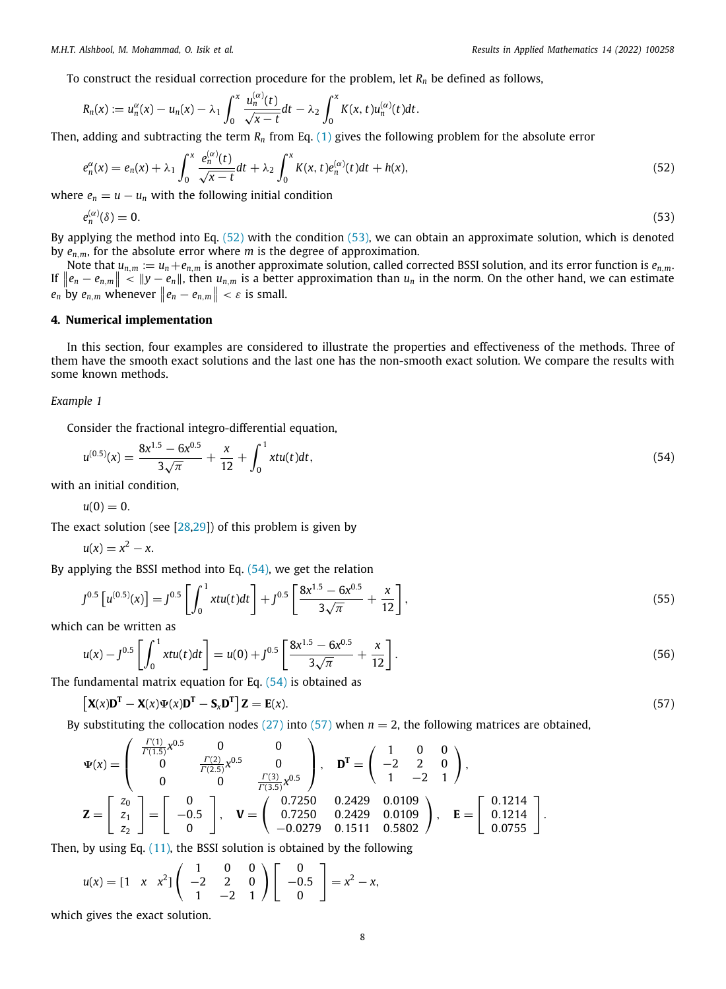To construct the residual correction procedure for the problem, let  $R<sub>n</sub>$  be defined as follows,

$$
R_n(x) := u_n^{\alpha}(x) - u_n(x) - \lambda_1 \int_0^x \frac{u_n^{(\alpha)}(t)}{\sqrt{x-t}} dt - \lambda_2 \int_0^x K(x,t) u_n^{(\alpha)}(t) dt.
$$

Then, adding and subtracting the term *R<sup>n</sup>* from Eq. ([1\)](#page-2-0) gives the following problem for the absolute error

$$
e_n^{\alpha}(x) = e_n(x) + \lambda_1 \int_0^x \frac{e_n^{(\alpha)}(t)}{\sqrt{x-t}} dt + \lambda_2 \int_0^x K(x,t) e_n^{(\alpha)}(t) dt + h(x), \qquad (52)
$$

where  $e_n = u - u_n$  with the following initial condition

$$
e_n^{(\alpha)}(\delta) = 0. \tag{53}
$$

By applying the method into Eq. [\(52\)](#page-8-1) with the condition [\(53\)](#page-8-2), we can obtain an approximate solution, which is denoted by  $e_{n,m}$ , for the absolute error where *m* is the degree of approximation.

Note that  $u_{n,m} := u_n + e_{n,m}$  is another approximate solution, called corrected BSSI solution, and its error function is  $e_{n,m}$ . If  $\|e_n - e_{n,m}\|$  <  $\|y - e_n\|$ , then  $u_{n,m}$  is a better approximation than  $u_n$  in the norm. On the other hand, we can estimate  $e_n$  by  $e_{n,m}$  whenever  $||e_n - e_{n,m}|| < \varepsilon$  is small.

#### **4. Numerical implementation**

<span id="page-8-0"></span>In this section, four examples are considered to illustrate the properties and effectiveness of the methods. Three of them have the smooth exact solutions and the last one has the non-smooth exact solution. We compare the results with some known methods.

#### *Example 1*

Consider the fractional integro-differential equation,

 $\overline{\phantom{0}}$ 

$$
u^{(0.5)}(x) = \frac{8x^{1.5} - 6x^{0.5}}{3\sqrt{\pi}} + \frac{x}{12} + \int_0^1 xtu(t)dt,
$$
\n(54)

with an initial condition,

$$
u(0)=0.
$$

The exact solution (see [\[28,](#page-16-25)[29\]](#page-16-26)) of this problem is given by

$$
u(x)=x^2-x.
$$

By applying the BSSI method into Eq.  $(54)$  $(54)$  $(54)$ , we get the relation

$$
J^{0.5}\left[u^{(0.5)}(x)\right] = J^{0.5}\left[\int_0^1 xtu(t)dt\right] + J^{0.5}\left[\frac{8x^{1.5} - 6x^{0.5}}{3\sqrt{\pi}} + \frac{x}{12}\right],\tag{55}
$$

which can be written as

$$
u(x) - J^{0.5} \left[ \int_0^1 x t u(t) dt \right] = u(0) + J^{0.5} \left[ \frac{8x^{1.5} - 6x^{0.5}}{3\sqrt{\pi}} + \frac{x}{12} \right].
$$
 (56)

The fundamental matrix equation for Eq.  $(54)$  $(54)$  $(54)$  is obtained as

$$
\left[\mathbf{X}(x)\mathbf{D}^{\mathrm{T}} - \mathbf{X}(x)\mathbf{\Psi}(x)\mathbf{D}^{\mathrm{T}} - \mathbf{S}_x\mathbf{D}^{\mathrm{T}}\right]\mathbf{Z} = \mathbf{E}(x). \tag{57}
$$

By substituting the collocation nodes ([27](#page-5-2)) into [\(57\)](#page-8-4) when  $n = 2$ , the following matrices are obtained,

$$
\Psi(x) = \begin{pmatrix} \frac{\Gamma(1)}{\Gamma(1.5)} x^{0.5} & 0 & 0 \\ 0 & \frac{\Gamma(2)}{\Gamma(2.5)} x^{0.5} & 0 \\ 0 & 0 & \frac{\Gamma(3)}{\Gamma(3.5)} x^{0.5} \end{pmatrix}, \quad \mathbf{D}^T = \begin{pmatrix} 1 & 0 & 0 \\ -2 & 2 & 0 \\ 1 & -2 & 1 \end{pmatrix},
$$
  

$$
\mathbf{Z} = \begin{bmatrix} z_0 \\ z_1 \\ z_2 \end{bmatrix} = \begin{bmatrix} 0 \\ -0.5 \\ 0 \end{bmatrix}, \quad \mathbf{V} = \begin{pmatrix} 0.7250 & 0.2429 & 0.0109 \\ 0.7250 & 0.2429 & 0.0109 \\ -0.0279 & 0.1511 & 0.5802 \end{pmatrix}, \quad \mathbf{E} = \begin{bmatrix} 0.1214 \\ 0.1214 \\ 0.0755 \end{bmatrix}.
$$

Then, by using Eq.  $(11)$  $(11)$ , the BSSI solution is obtained by the following

$$
u(x) = \begin{bmatrix} 1 & x & x^2 \end{bmatrix} \begin{pmatrix} 1 & 0 & 0 \\ -2 & 2 & 0 \\ 1 & -2 & 1 \end{pmatrix} \begin{bmatrix} 0 \\ -0.5 \\ 0 \end{bmatrix} = x^2 - x,
$$

which gives the exact solution.

<span id="page-8-4"></span><span id="page-8-3"></span><span id="page-8-2"></span><span id="page-8-1"></span>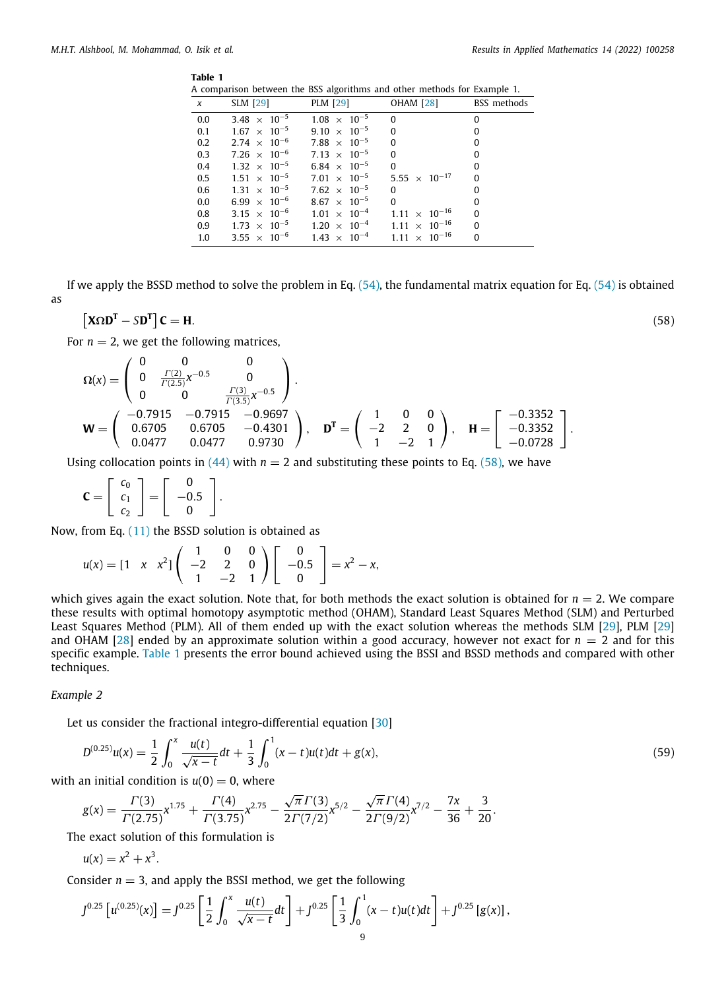#### <span id="page-9-1"></span>**Table 1**

|  | A comparison between the BSS algorithms and other methods for Example 1. |  |  |  |  |  |  |  |  |  |  |
|--|--------------------------------------------------------------------------|--|--|--|--|--|--|--|--|--|--|
|--|--------------------------------------------------------------------------|--|--|--|--|--|--|--|--|--|--|

<span id="page-9-0"></span>

| $\boldsymbol{x}$ | $SLM$ [29]                     |                       | PLM [29] OHAM [28] BSS methods                                         |                |
|------------------|--------------------------------|-----------------------|------------------------------------------------------------------------|----------------|
| 0.0              | $3.48 \times 10^{-5}$          | $1.08 \times 10^{-5}$ | $\overline{0}$                                                         | $\Omega$       |
| 0.1              | $1.67 \times 10^{-5}$          | $9.10 \times 10^{-5}$ | $\overline{0}$                                                         | $\bf{0}$       |
|                  | $0.2$ $2.74 \times 10^{-6}$    | $7.88 \times 10^{-5}$ | $\overline{0}$                                                         | $\bf{0}$       |
| 0.3              | $7.26 \times 10^{-6}$          | $7.13 \times 10^{-5}$ | $\overline{0}$                                                         | $\bf{0}$       |
| 0.4              | $1.32 \times 10^{-5}$          | $6.84 \times 10^{-5}$ | $\overline{0}$                                                         | $\bf{0}$       |
|                  | $0.5$ $1.51 \times 10^{-5}$    | $7.01 \times 10^{-5}$ | $5.55 \times 10^{-17}$                                                 | $\overline{0}$ |
|                  | $0.6$ $1.31 \times 10^{-5}$    | $7.62 \times 10^{-5}$ | $\overline{0}$                                                         | $\Omega$       |
| 0.0              | $6.99 \times 10^{-6}$          | $8.67 \times 10^{-5}$ | $\Omega$                                                               | $\Omega$       |
| 0.8              | 3.15 $\times$ 10 <sup>-6</sup> | $1.01 \times 10^{-4}$ | $1.11 \times 10^{-16}$                                                 | $\Omega$       |
|                  |                                |                       | 0.9 $1.73 \times 10^{-5}$ $1.20 \times 10^{-4}$ $1.11 \times 10^{-16}$ | $\overline{0}$ |
| 1.0              | $3.55 \times 10^{-6}$          |                       | $1.43 \times 10^{-4}$ $1.11 \times 10^{-16}$                           | $\overline{0}$ |
|                  |                                |                       |                                                                        |                |

If we apply the BSSD method to solve the problem in Eq.  $(54)$ , the fundamental matrix equation for Eq.  $(54)$  $(54)$  $(54)$  is obtained as

$$
\left[\mathbf{X}\Omega\mathbf{D}^{\mathrm{T}} - \mathbf{S}\mathbf{D}^{\mathrm{T}}\right]\mathbf{C} = \mathbf{H}.\tag{58}
$$

For  $n = 2$ , we get the following matrices,

$$
\Omega(x) = \begin{pmatrix} 0 & 0 & 0 \\ 0 & \frac{\Gamma(2)}{\Gamma(2.5)} x^{-0.5} & 0 \\ 0 & 0 & \frac{\Gamma(3)}{\Gamma(3.5)} x^{-0.5} \end{pmatrix}.
$$
  
\n
$$
\mathbf{W} = \begin{pmatrix} -0.7915 & -0.7915 & -0.9697 \\ 0.6705 & 0.6705 & -0.4301 \\ 0.0477 & 0.0477 & 0.9730 \end{pmatrix}, \quad \mathbf{D}^T = \begin{pmatrix} 1 & 0 & 0 \\ -2 & 2 & 0 \\ 1 & -2 & 1 \end{pmatrix}, \quad \mathbf{H} = \begin{bmatrix} -0.3352 \\ -0.3352 \\ -0.0728 \end{bmatrix}.
$$

Using collocation points in  $(44)$  $(44)$  with  $n = 2$  and substituting these points to Eq. ([58](#page-9-0)), we have

$$
\mathbf{C} = \left[ \begin{array}{c} c_0 \\ c_1 \\ c_2 \end{array} \right] = \left[ \begin{array}{c} 0 \\ -0.5 \\ 0 \end{array} \right].
$$

Now, from Eq. ([11](#page-4-2)) the BSSD solution is obtained as

$$
u(x) = \begin{bmatrix} 1 & x & x^2 \end{bmatrix} \begin{pmatrix} 1 & 0 & 0 \\ -2 & 2 & 0 \\ 1 & -2 & 1 \end{pmatrix} \begin{bmatrix} 0 \\ -0.5 \\ 0 \end{bmatrix} = x^2 - x,
$$

which gives again the exact solution. Note that, for both methods the exact solution is obtained for  $n = 2$ . We compare these results with optimal homotopy asymptotic method (OHAM), Standard Least Squares Method (SLM) and Perturbed Least Squares Method (PLM). All of them ended up with the exact solution whereas the methods SLM [\[29\]](#page-16-26), PLM [\[29\]](#page-16-26) and OHAM [[28](#page-16-25)] ended by an approximate solution within a good accuracy, however not exact for  $n = 2$  and for this specific example. [Table](#page-9-1) [1](#page-9-1) presents the error bound achieved using the BSSI and BSSD methods and compared with other techniques.

#### *Example 2*

Let us consider the fractional integro-differential equation [[30](#page-16-27)]

$$
D^{(0.25)}u(x) = \frac{1}{2} \int_0^x \frac{u(t)}{\sqrt{x-t}} dt + \frac{1}{3} \int_0^1 (x-t)u(t)dt + g(x),
$$
\n(59)

with an initial condition is  $u(0) = 0$ , where

$$
g(x) = \frac{\Gamma(3)}{\Gamma(2.75)} x^{1.75} + \frac{\Gamma(4)}{\Gamma(3.75)} x^{2.75} - \frac{\sqrt{\pi} \Gamma(3)}{2 \Gamma(7/2)} x^{5/2} - \frac{\sqrt{\pi} \Gamma(4)}{2 \Gamma(9/2)} x^{7/2} - \frac{7x}{36} + \frac{3}{20}.
$$

The exact solution of this formulation is

$$
u(x)=x^2+x^3.
$$

Consider  $n = 3$ , and apply the BSSI method, we get the following

$$
J^{0.25}\left[u^{(0.25)}(x)\right] = J^{0.25}\left[\frac{1}{2}\int_0^x \frac{u(t)}{\sqrt{x-t}}dt\right] + J^{0.25}\left[\frac{1}{3}\int_0^1 (x-t)u(t)dt\right] + J^{0.25}\left[g(x)\right],
$$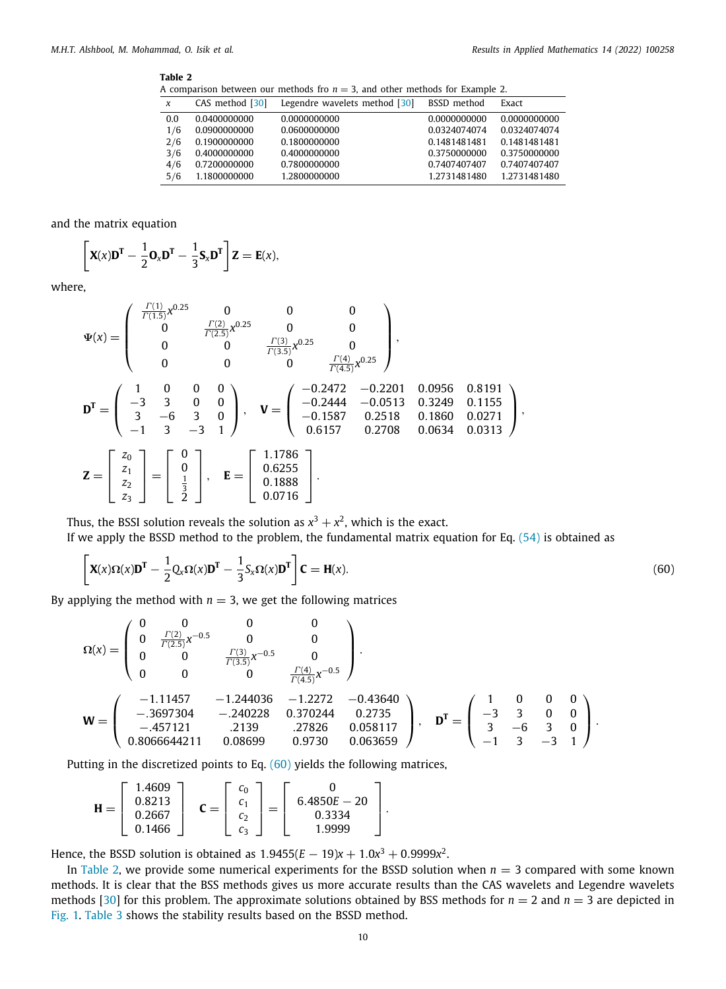#### <span id="page-10-1"></span>**Table 2**

A comparison between our methods fro  $n = 3$ , and other methods for Example 2.

| $\boldsymbol{\chi}$ | CAS method [30] | Legendre wavelets method [30] | BSSD method  | Exact        |
|---------------------|-----------------|-------------------------------|--------------|--------------|
| 0.0                 | 0.0400000000    | 0.0000000000                  | 0.0000000000 | 0.0000000000 |
| 1/6                 | 0.0900000000    | 0.0600000000                  | 0.0324074074 | 0.0324074074 |
| 2/6                 | 0.1900000000    | 0.1800000000                  | 0.1481481481 | 0.1481481481 |
| 3/6                 | 0.4000000000    | 0.4000000000                  | 0.3750000000 | 0.3750000000 |
| 4/6                 | 0.7200000000    | 0.7800000000                  | 0.7407407407 | 0.7407407407 |
| 5/6                 | 1.1800000000    | 1.2800000000                  | 1.2731481480 | 1.2731481480 |

and the matrix equation

$$
\[ \mathbf{X}(x)\mathbf{D}^{\mathrm{T}} - \frac{1}{2}\mathbf{O}_x\mathbf{D}^{\mathrm{T}} - \frac{1}{3}\mathbf{S}_x\mathbf{D}^{\mathrm{T}} \] \mathbf{Z} = \mathbf{E}(x),
$$

where,

$$
\Psi(x) = \begin{pmatrix}\n\frac{\Gamma(1)}{\Gamma(1.5)}x^{0.25} & 0 & 0 & 0 \\
0 & \frac{\Gamma(2)}{\Gamma(2.5)}x^{0.25} & 0 & 0 \\
0 & 0 & \frac{\Gamma(3)}{\Gamma(3.5)}x^{0.25} & 0 \\
0 & 0 & 0 & \frac{\Gamma(4)}{\Gamma(4.5)}x^{0.25}\n\end{pmatrix},
$$
\n
$$
\mathbf{D}^T = \begin{pmatrix}\n1 & 0 & 0 & 0 \\
-3 & 3 & 0 & 0 \\
3 & -6 & 3 & 0 \\
-1 & 3 & -3 & 1\n\end{pmatrix}, \quad \mathbf{V} = \begin{pmatrix}\n-0.2472 & -0.2201 & 0.0956 & 0.8191 \\
-0.2444 & -0.0513 & 0.3249 & 0.1155 \\
-0.1587 & 0.2518 & 0.1860 & 0.0271 \\
0.6157 & 0.2708 & 0.0634 & 0.0313\n\end{pmatrix},
$$
\n
$$
\mathbf{Z} = \begin{bmatrix}\nz_0 \\
z_1 \\
z_2 \\
z_3\n\end{bmatrix} = \begin{bmatrix}\n0 \\
0 \\
\frac{1}{3} \\
2\n\end{bmatrix}, \quad \mathbf{E} = \begin{bmatrix}\n1.1786 \\
0.6255 \\
0.1888 \\
0.0716\n\end{bmatrix}.
$$

Thus, the BSSI solution reveals the solution as  $x^3 + x^2$ , which is the exact.

If we apply the BSSD method to the problem, the fundamental matrix equation for Eq. [\(54](#page-8-3)) is obtained as

<span id="page-10-0"></span>
$$
\left[\mathbf{X}(x)\Omega(x)\mathbf{D}^{\mathrm{T}}-\frac{1}{2}\mathbf{Q}_{x}\Omega(x)\mathbf{D}^{\mathrm{T}}-\frac{1}{3}\mathbf{S}_{x}\Omega(x)\mathbf{D}^{\mathrm{T}}\right]\mathbf{C}=\mathbf{H}(x).
$$
\n(60)

By applying the method with  $n = 3$ , we get the following matrices

$$
\Omega(x) = \begin{pmatrix}\n0 & 0 & 0 & 0 & 0 \\
0 & \frac{\Gamma(2)}{\Gamma(2.5)}x^{-0.5} & 0 & 0 \\
0 & 0 & \frac{\Gamma(3)}{\Gamma(3.5)}x^{-0.5} & 0 \\
0 & 0 & 0 & \frac{\Gamma(4)}{\Gamma(4.5)}x^{-0.5}\n\end{pmatrix}.
$$
\n
$$
\mathbf{W} = \begin{pmatrix}\n-1.11457 & -1.244036 & -1.2272 & -0.43640 \\
-0.3697304 & -0.240228 & 0.370244 & 0.2735 \\
-0.457121 & 0.2139 & 0.27826 & 0.058117 \\
0.8066644211 & 0.08699 & 0.9730 & 0.063659\n\end{pmatrix}, \quad \mathbf{D}^{\mathrm{T}} = \begin{pmatrix}\n1 & 0 & 0 & 0 \\
-3 & 3 & 0 & 0 \\
3 & -6 & 3 & 0 \\
-1 & 3 & -3 & 1\n\end{pmatrix}.
$$

Putting in the discretized points to Eq. ([60](#page-10-0)) yields the following matrices,

$$
\mathbf{H} = \left[ \begin{array}{c} 1.4609 \\ 0.8213 \\ 0.2667 \\ 0.1466 \end{array} \right] \quad \mathbf{C} = \left[ \begin{array}{c} c_0 \\ c_1 \\ c_2 \\ c_3 \end{array} \right] = \left[ \begin{array}{c} 0 \\ 6.4850E - 20 \\ 0.3334 \\ 1.9999 \end{array} \right].
$$

Hence, the BSSD solution is obtained as  $1.9455(E-19)x + 1.0x^3 + 0.9999x^2$ .

In [Table](#page-10-1) [2](#page-10-1), we provide some numerical experiments for the BSSD solution when *n* = 3 compared with some known methods. It is clear that the BSS methods gives us more accurate results than the CAS wavelets and Legendre wavelets methods [[30](#page-16-27)] for this problem. The approximate solutions obtained by BSS methods for  $n = 2$  and  $n = 3$  are depicted in [Fig.](#page-11-0) [1](#page-11-0). [Table](#page-11-1) [3](#page-11-1) shows the stability results based on the BSSD method.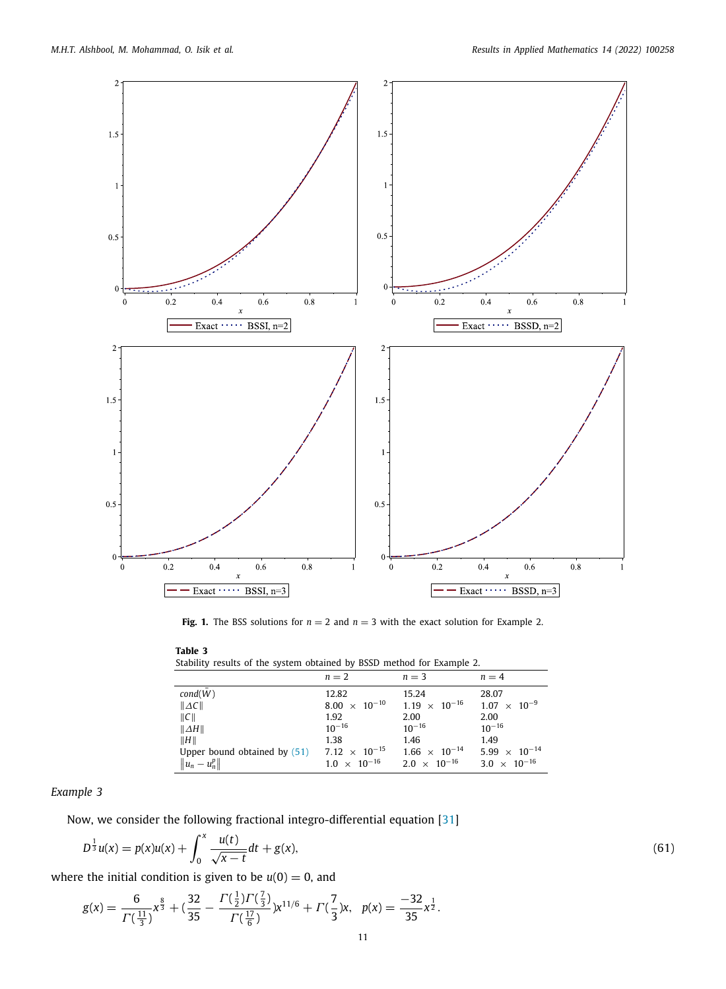

**Fig. 1.** The BSS solutions for  $n = 2$  and  $n = 3$  with the exact solution for Example 2.

<span id="page-11-1"></span><span id="page-11-0"></span>**Table 3** Stability results of the system obtained by BSSD method for Example 2.

|                                                                | $n=2$                  | $n=3$                  | $n = 4$                |
|----------------------------------------------------------------|------------------------|------------------------|------------------------|
| cond(W)                                                        | 12.82                  | 15.24                  | 28.07                  |
| $\ AC\ $                                                       | $8.00 \times 10^{-10}$ | $1.19 \times 10^{-16}$ | $1.07 \times 10^{-9}$  |
| C                                                              | 1.92                   | 2.00                   | 2.00                   |
| $\ \Delta H\ $                                                 | $10^{-16}$             | $10^{-16}$             | $10^{-16}$             |
| H                                                              | 1.38                   | 1.46                   | 1.49                   |
| Upper bound obtained by $(51)$ 7.12 $\times$ 10 <sup>-15</sup> |                        | $1.66 \times 10^{-14}$ | $5.99 \times 10^{-14}$ |
| $  u_n-u_n^p  $                                                | $1.0 \times 10^{-16}$  | $2.0 \times 10^{-16}$  | $3.0 \times 10^{-16}$  |

#### *Example 3*

Now, we consider the following fractional integro-differential equation [[31](#page-16-28)]

$$
D^{\frac{1}{3}}u(x) = p(x)u(x) + \int_0^x \frac{u(t)}{\sqrt{x-t}} dt + g(x),
$$
\n(61)

where the initial condition is given to be  $u(0) = 0$ , and

$$
g(x)=\frac{6}{\Gamma(\frac{11}{3})}x^{\frac{8}{3}}+(\frac{32}{35}-\frac{\Gamma(\frac{1}{2})\Gamma(\frac{7}{3})}{\Gamma(\frac{17}{6})})x^{11/6}+\Gamma(\frac{7}{3})x, \ \ p(x)=\frac{-32}{35}x^{\frac{1}{2}}.
$$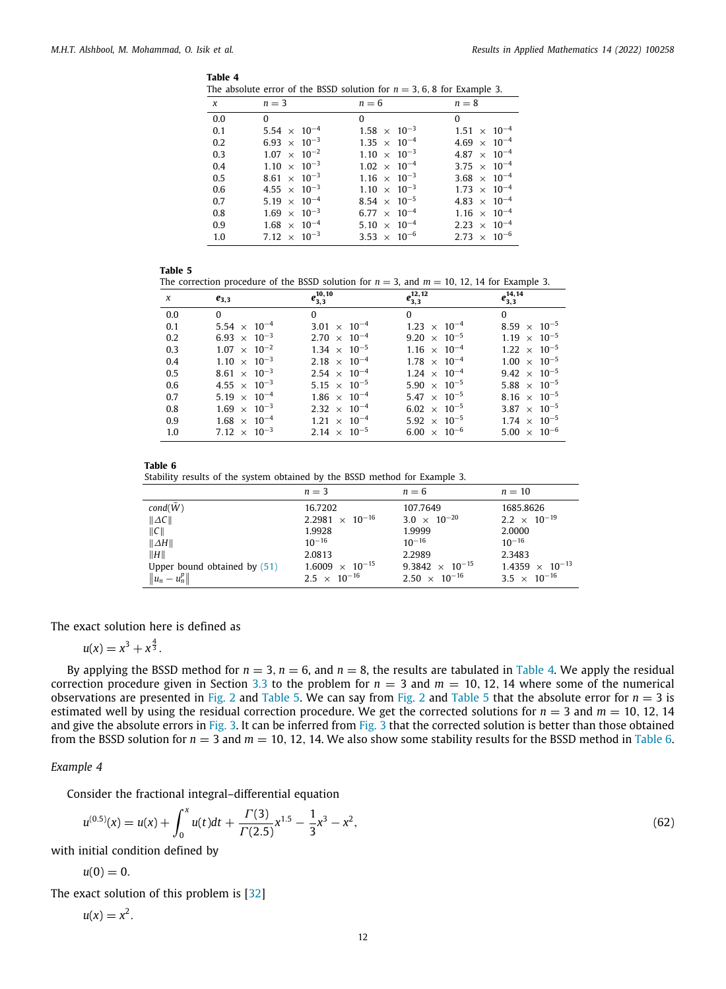<span id="page-12-0"></span>

|--|

| $\chi$ | $n=3$                          | $n=6$                 | $n=8$                          |
|--------|--------------------------------|-----------------------|--------------------------------|
| 0.0    | $\Omega$                       | $\overline{0}$        | $\Omega$                       |
| 0.1    | $5.54 \times 10^{-4}$          | $1.58 \times 10^{-3}$ | $1.51 \times 10^{-4}$          |
| 0.2    | $6.93 \times 10^{-3}$          | $1.35 \times 10^{-4}$ | 4.69 $\times$ 10 <sup>-4</sup> |
| 0.3    | $1.07 \times 10^{-2}$          | $1.10 \times 10^{-3}$ | 4.87 $\times$ 10 <sup>-4</sup> |
| 0.4    | $1.10 \times 10^{-3}$          | $1.02 \times 10^{-4}$ | 3.75 $\times$ 10 <sup>-4</sup> |
| 0.5    | 8.61 $\times$ 10 <sup>-3</sup> | $1.16 \times 10^{-3}$ | 3.68 $\times$ 10 <sup>-4</sup> |
| 0.6    | 4.55 $\times$ 10 <sup>-3</sup> | $1.10 \times 10^{-3}$ | $1.73 \times 10^{-4}$          |
| 0.7    | $5.19 \times 10^{-4}$          | $8.54 \times 10^{-5}$ | 4.83 $\times$ 10 <sup>-4</sup> |
| 0.8    | $1.69 \times 10^{-3}$          | $6.77 \times 10^{-4}$ | $1.16 \times 10^{-4}$          |
| 0.9    | $1.68 \times 10^{-4}$          | $5.10 \times 10^{-4}$ | $2.23 \times 10^{-4}$          |
| 1.0    | 7.12 $\times$ 10 <sup>-3</sup> | $3.53 \times 10^{-6}$ | $2.73 \times 10^{-6}$          |

<span id="page-12-1"></span>

|--|--|

The correction procedure of the BSSD solution for  $n = 3$ , and  $m = 10$ , 12, 14 for Example 3.

| $\chi$ | $e_{3,3}$                      | $\overline{e_{3,3}^{10}}$ | $\overline{e_{3,3}^{12,12}}$ | $e^{14,14}_{3,3}$              |
|--------|--------------------------------|---------------------------|------------------------------|--------------------------------|
| 0.0    | $\Omega$                       | $\Omega$                  | $\Omega$                     | $\Omega$                       |
| 0.1    | 5.54 $\times$ 10 <sup>-4</sup> | $3.01 \times 10^{-4}$     | $1.23 \times 10^{-4}$        | 8.59 $\times$ 10 <sup>-5</sup> |
| 0.2    | $6.93 \times 10^{-3}$          | $2.70 \times 10^{-4}$     | $9.20 \times 10^{-5}$        | $1.19 \times 10^{-5}$          |
| 0.3    | $1.07 \times 10^{-2}$          | $1.34 \times 10^{-5}$     | $1.16 \times 10^{-4}$        | $1.22 \times 10^{-5}$          |
| 0.4    | $1.10 \times 10^{-3}$          | $2.18 \times 10^{-4}$     | $1.78 \times 10^{-4}$        | $1.00 \times 10^{-5}$          |
| 0.5    | 8.61 $\times$ 10 <sup>-3</sup> | $2.54 \times 10^{-4}$     | $1.24 \times 10^{-4}$        | $9.42 \times 10^{-5}$          |
| 0.6    | 4.55 $\times$ 10 <sup>-3</sup> | $5.15 \times 10^{-5}$     | $5.90 \times 10^{-5}$        | $5.88 \times 10^{-5}$          |
| 0.7    | $5.19 \times 10^{-4}$          | $1.86 \times 10^{-4}$     | $5.47 \times 10^{-5}$        | 8.16 $\times$ 10 <sup>-5</sup> |
| 0.8    | $1.69 \times 10^{-3}$          | $2.32 \times 10^{-4}$     | $6.02 \times 10^{-5}$        | $3.87 \times 10^{-5}$          |
| 0.9    | $1.68 \times 10^{-4}$          | $1.21 \times 10^{-4}$     | $5.92 \times 10^{-5}$        | $1.74 \times 10^{-5}$          |
| 1.0    | 7.12 $\times$ 10 <sup>-3</sup> | $2.14 \times 10^{-5}$     | $6.00 \times 10^{-6}$        | $5.00 \times 10^{-6}$          |

| ----<br>$\sim$ | $\sim$ |
|----------------|--------|
|----------------|--------|

<span id="page-12-2"></span>Stability results of the system obtained by the BSSD method for Example 3.

|                              | $n = 3$                  | $n=6$                    | $n=10$                   |
|------------------------------|--------------------------|--------------------------|--------------------------|
| cond(W)                      | 16.7202                  | 107.7649                 | 1685.8626                |
| $\ AC\ $                     | $2.2981 \times 10^{-16}$ | $3.0 \times 10^{-20}$    | $2.2 \times 10^{-19}$    |
| $\ C\ $                      | 1.9928                   | 1.9999                   | 2.0000                   |
| $\ \Delta H\ $               | $10^{-16}$               | $10^{-16}$               | $10^{-16}$               |
| H                            | 2.0813                   | 2.2989                   | 2.3483                   |
| Upper bound obtained by (51) | $1.6009 \times 10^{-15}$ | $9.3842 \times 10^{-15}$ | $1.4359 \times 10^{-13}$ |
| $  u_n-u_n^p  $              | $2.5 \times 10^{-16}$    | $2.50 \times 10^{-16}$   | $3.5 \times 10^{-16}$    |

The exact solution here is defined as

$$
u(x) = x^3 + x^{\frac{4}{3}}.
$$

By applying the BSSD method for  $n = 3$ ,  $n = 6$ , and  $n = 8$ , the results are tabulated in [Table](#page-12-0) [4.](#page-12-0) We apply the residual correction procedure given in Section [3.3](#page-7-0) to the problem for  $n = 3$  and  $m = 10, 12, 14$  where some of the numerical observations are presented in [Fig.](#page-13-0) [2](#page-13-0) and [Table](#page-12-1) [5.](#page-12-1) We can say from Fig. 2 and Table [5](#page-12-1) that the absolute error for  $n = 3$  is estimated well by using the residual correction procedure. We get the corrected solutions for  $n = 3$  and  $m = 10, 12, 14$ and give the absolute errors in [Fig.](#page-14-0) [3](#page-14-0). It can be inferred from Fig. 3 that the corrected solution is better than those obtained from the BSSD solution for  $n = 3$  and  $m = 10$ , 12, 14. We also show some stability results for the BSSD method in [Table](#page-12-2) [6.](#page-12-2)

#### *Example 4*

Consider the fractional integral–differential equation

<span id="page-12-3"></span>
$$
u^{(0.5)}(x) = u(x) + \int_0^x u(t)dt + \frac{\Gamma(3)}{\Gamma(2.5)}x^{1.5} - \frac{1}{3}x^3 - x^2,
$$
\n(62)

with initial condition defined by

 $u(0) = 0.$ 

The exact solution of this problem is [\[32](#page-16-29)]

$$
u(x)=x^2.
$$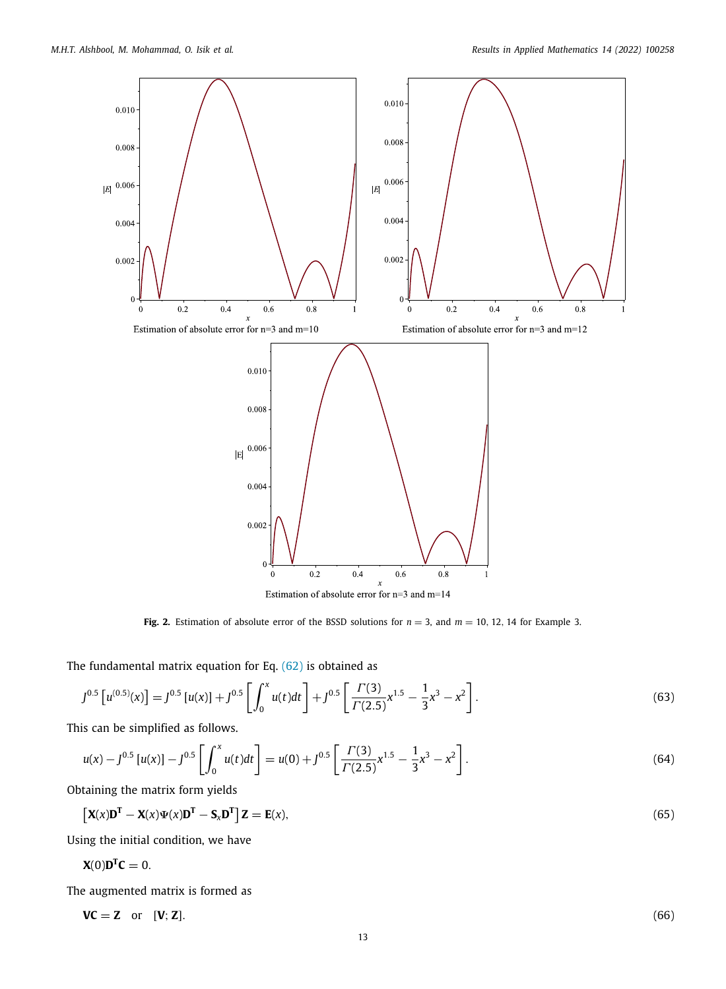

**Fig. 2.** Estimation of absolute error of the BSSD solutions for *n* = 3, and *m* = 10, 12, 14 for Example 3.

<span id="page-13-0"></span>The fundamental matrix equation for Eq. ([62](#page-12-3)) is obtained as

$$
J^{0.5}\left[u^{(0.5)}(x)\right] = J^{0.5}\left[u(x)\right] + J^{0.5}\left[\int_0^x u(t)dt\right] + J^{0.5}\left[\frac{\Gamma(3)}{\Gamma(2.5)}x^{1.5} - \frac{1}{3}x^3 - x^2\right].\tag{63}
$$

This can be simplified as follows.

$$
u(x) - J^{0.5} [u(x)] - J^{0.5} \left[ \int_0^x u(t) dt \right] = u(0) + J^{0.5} \left[ \frac{\Gamma(3)}{\Gamma(2.5)} x^{1.5} - \frac{1}{3} x^3 - x^2 \right].
$$
 (64)

Obtaining the matrix form yields

$$
\left[\mathbf{X}(x)\mathbf{D}^{\mathrm{T}} - \mathbf{X}(x)\Psi(x)\mathbf{D}^{\mathrm{T}} - \mathbf{S}_x\mathbf{D}^{\mathrm{T}}\right]\mathbf{Z} = \mathbf{E}(x),\tag{65}
$$

Using the initial condition, we have

 $\mathbf{X}(0)\mathbf{D}^{\mathrm{T}}\mathbf{C}=0.$ 

The augmented matrix is formed as

$$
VC = Z \quad \text{or} \quad [V; Z]. \tag{66}
$$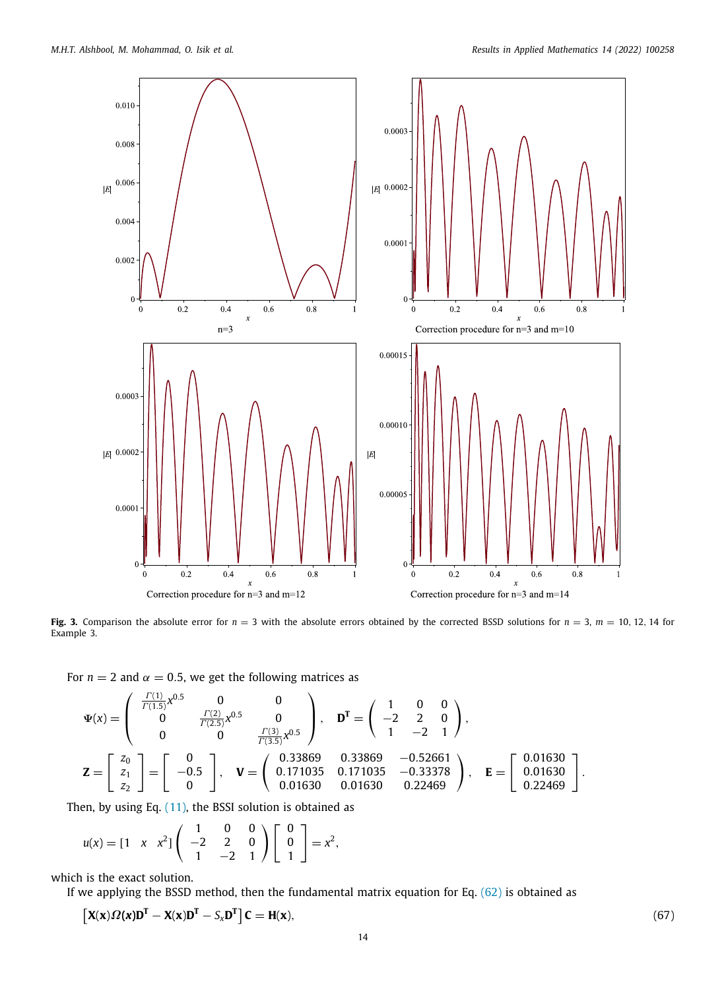

<span id="page-14-0"></span>**Fig. 3.** Comparison the absolute error for  $n = 3$  with the absolute errors obtained by the corrected BSSD solutions for  $n = 3$ ,  $m = 10$ , 12, 14 for Example 3.

For  $n = 2$  and  $\alpha = 0.5$ , we get the following matrices as

$$
\Psi(x) = \begin{pmatrix} \frac{\Gamma(1)}{\Gamma(1.5)} x^{0.5} & 0 & 0 \\ 0 & \frac{\Gamma(2)}{\Gamma(2.5)} x^{0.5} & 0 \\ 0 & 0 & \frac{\Gamma(3)}{\Gamma(3.5)} x^{0.5} \end{pmatrix}, \quad \mathbf{D}^T = \begin{pmatrix} 1 & 0 & 0 \\ -2 & 2 & 0 \\ 1 & -2 & 1 \end{pmatrix},
$$
  

$$
\mathbf{Z} = \begin{bmatrix} z_0 \\ z_1 \\ z_2 \end{bmatrix} = \begin{bmatrix} 0 \\ -0.5 \\ 0 \end{bmatrix}, \quad \mathbf{V} = \begin{pmatrix} 0.33869 & 0.33869 & -0.52661 \\ 0.171035 & 0.171035 & -0.33378 \\ 0.01630 & 0.01630 & 0.22469 \end{pmatrix}, \quad \mathbf{E} = \begin{bmatrix} 0.01630 \\ 0.01630 \\ 0.22469 \end{bmatrix}.
$$

Then, by using Eq.  $(11)$  $(11)$ , the BSSI solution is obtained as

$$
u(x) = \begin{bmatrix} 1 & x & x^2 \end{bmatrix} \begin{pmatrix} 1 & 0 & 0 \\ -2 & 2 & 0 \\ 1 & -2 & 1 \end{pmatrix} \begin{bmatrix} 0 \\ 0 \\ 1 \end{bmatrix} = x^2,
$$

which is the exact solution.

If we applying the BSSD method, then the fundamental matrix equation for Eq. ([62](#page-12-3)) is obtained as

$$
\left[\mathbf{X}(\mathbf{x})\Omega(\mathbf{x})\mathbf{D}^{\mathrm{T}} - \mathbf{X}(\mathbf{x})\mathbf{D}^{\mathrm{T}} - \mathbf{S}_{\mathbf{x}}\mathbf{D}^{\mathrm{T}}\right]\mathbf{C} = \mathbf{H}(\mathbf{x}),\tag{67}
$$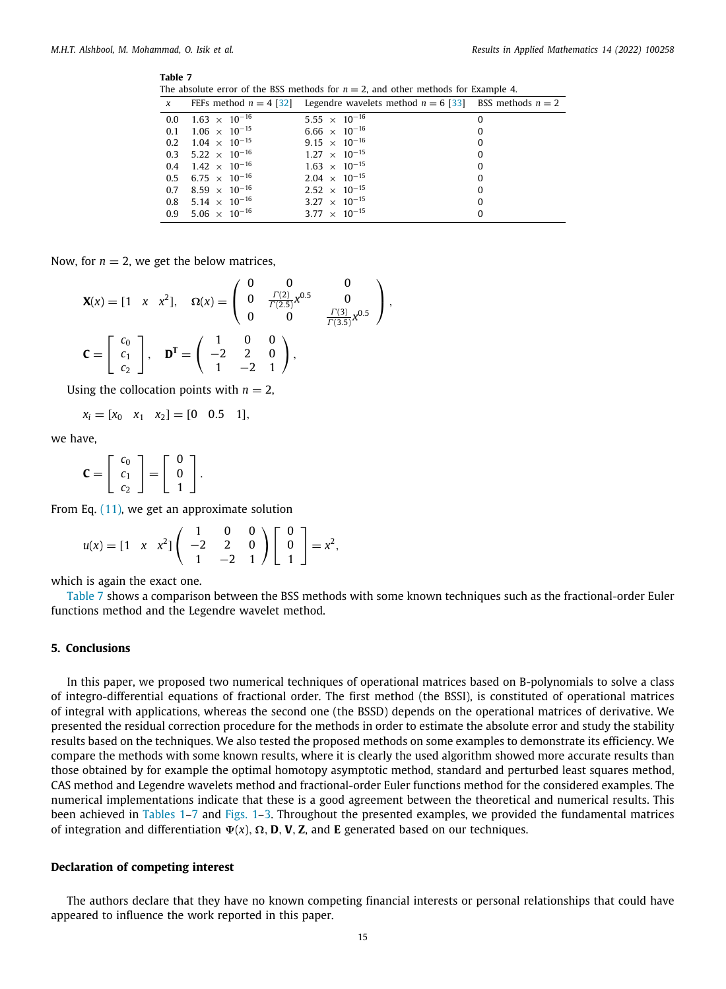#### <span id="page-15-1"></span>**Table 7**

The absolute error of the BSS methods for  $n = 2$ , and other methods for Example 4.

|                                       | x FEFs method $n = 4$ [32] Legendre wavelets method $n = 6$ [33] BSS methods $n = 2$ |          |
|---------------------------------------|--------------------------------------------------------------------------------------|----------|
| $0.0$ $1.63 \times 10^{-16}$          | 5.55 $\times$ 10 <sup>-16</sup>                                                      | 0        |
| $0.1$ $1.06 \times 10^{-15}$          | $6.66 \times 10^{-16}$                                                               | $\theta$ |
| $0.2$ $1.04 \times 10^{-15}$          | 9.15 $\times$ 10 <sup>-16</sup>                                                      | $\bf{0}$ |
| 0.3 5.22 $\times$ 10 <sup>-16</sup>   | $1.27 \times 10^{-15}$                                                               | $\theta$ |
| $0.4$ 1.42 $\times$ 10 <sup>-16</sup> | $1.63 \times 10^{-15}$                                                               | $\bf{0}$ |
| $0.5$ 6.75 $\times$ 10 <sup>-16</sup> | $2.04 \times 10^{-15}$                                                               | $\theta$ |
| 0.7 8.59 $\times$ 10 <sup>-16</sup>   | $2.52 \times 10^{-15}$                                                               | $\Omega$ |
| $0.8$ 5.14 $\times$ 10 <sup>-16</sup> | 3.27 $\times$ 10 <sup>-15</sup>                                                      | $\Omega$ |
| $0.9$ 5.06 $\times$ 10 <sup>-16</sup> | 3.77 $\times$ 10 <sup>-15</sup>                                                      | $\Omega$ |

Now, for  $n = 2$ , we get the below matrices,

$$
\mathbf{X}(x) = \begin{bmatrix} 1 & x & x^2 \end{bmatrix}, \quad \Omega(x) = \begin{pmatrix} 0 & 0 & 0 \\ 0 & \frac{\Gamma(2)}{\Gamma(2.5)} x^{0.5} & 0 \\ 0 & 0 & \frac{\Gamma(3)}{\Gamma(3.5)} x^{0.5} \end{pmatrix},
$$

$$
\mathbf{C} = \begin{bmatrix} c_0 \\ c_1 \\ c_2 \end{bmatrix}, \quad \mathbf{D}^{\mathbf{T}} = \begin{pmatrix} 1 & 0 & 0 \\ -2 & 2 & 0 \\ 1 & -2 & 1 \end{pmatrix},
$$

Using the collocation points with  $n = 2$ ,

$$
x_i = [x_0 \quad x_1 \quad x_2] = [0 \quad 0.5 \quad 1],
$$

we have,

$$
\mathbf{C} = \left[ \begin{array}{c} c_0 \\ c_1 \\ c_2 \end{array} \right] = \left[ \begin{array}{c} 0 \\ 0 \\ 1 \end{array} \right].
$$

From Eq. [\(11](#page-4-2)), we get an approximate solution

$$
u(x) = \begin{bmatrix} 1 & x & x^2 \end{bmatrix} \begin{pmatrix} 1 & 0 & 0 \\ -2 & 2 & 0 \\ 1 & -2 & 1 \end{pmatrix} \begin{bmatrix} 0 \\ 0 \\ 1 \end{bmatrix} = x^2,
$$

which is again the exact one.

[Table](#page-15-1) [7](#page-15-1) shows a comparison between the BSS methods with some known techniques such as the fractional-order Euler functions method and the Legendre wavelet method.

#### **5. Conclusions**

<span id="page-15-0"></span>In this paper, we proposed two numerical techniques of operational matrices based on B-polynomials to solve a class of integro-differential equations of fractional order. The first method (the BSSI), is constituted of operational matrices of integral with applications, whereas the second one (the BSSD) depends on the operational matrices of derivative. We presented the residual correction procedure for the methods in order to estimate the absolute error and study the stability results based on the techniques. We also tested the proposed methods on some examples to demonstrate its efficiency. We compare the methods with some known results, where it is clearly the used algorithm showed more accurate results than those obtained by for example the optimal homotopy asymptotic method, standard and perturbed least squares method, CAS method and Legendre wavelets method and fractional-order Euler functions method for the considered examples. The numerical implementations indicate that these is a good agreement between the theoretical and numerical results. This been achieved in [Tables](#page-9-1) [1](#page-9-1)[–7](#page-15-1) and [Figs.](#page-11-0) [1–](#page-11-0)[3](#page-14-0). Throughout the presented examples, we provided the fundamental matrices of integration and differentiation Ψ(*x*), Ω, **D**, **V**, **Z**, and **E** generated based on our techniques.

#### **Declaration of competing interest**

The authors declare that they have no known competing financial interests or personal relationships that could have appeared to influence the work reported in this paper.